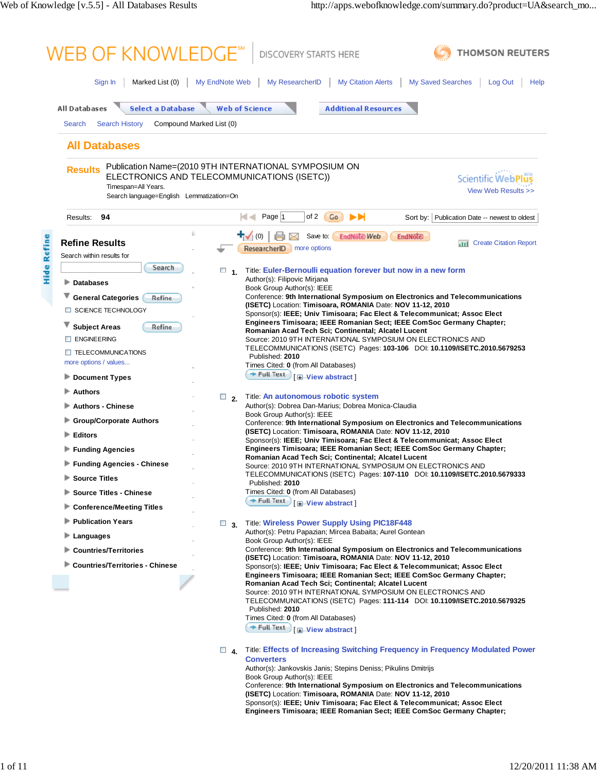| <b>All Databases</b><br><b>Select a Database</b>                                  |           |                                                                                                                                                                                                                                                                         |
|-----------------------------------------------------------------------------------|-----------|-------------------------------------------------------------------------------------------------------------------------------------------------------------------------------------------------------------------------------------------------------------------------|
|                                                                                   |           |                                                                                                                                                                                                                                                                         |
|                                                                                   |           | <b>Web of Science</b><br><b>Additional Resources</b>                                                                                                                                                                                                                    |
| Compound Marked List (0)<br><b>Search</b><br><b>Search History</b>                |           |                                                                                                                                                                                                                                                                         |
| <b>All Databases</b>                                                              |           |                                                                                                                                                                                                                                                                         |
| <b>Results</b><br>Timespan=All Years.<br>Search language=English Lemmatization=On |           | Publication Name=(2010 9TH INTERNATIONAL SYMPOSIUM ON<br>ELECTRONICS AND TELECOMMUNICATIONS (ISETC))<br><b>Scientific WebPl</b><br>View Web Results >>                                                                                                                  |
| 94<br>Results:                                                                    |           | м<<br>Page 1<br>of 2<br>ы<br>Go<br>Sort by: Publication Date -- newest to oldest                                                                                                                                                                                        |
|                                                                                   |           | ┱<br>(0)<br>Save to:<br><b>EndNote Web</b><br><b>EndNote</b>                                                                                                                                                                                                            |
| <b>Refine Results</b>                                                             |           | <b>Create Citation Report</b><br>an t<br>ResearcherID<br>more options                                                                                                                                                                                                   |
| Search within results for                                                         |           |                                                                                                                                                                                                                                                                         |
| Search                                                                            | $\Box$ 1. | Title: Euler-Bernoulli equation forever but now in a new form                                                                                                                                                                                                           |
| ⋗<br><b>Databases</b>                                                             |           | Author(s): Filipovic Mirjana<br>Book Group Author(s): IEEE                                                                                                                                                                                                              |
| <b>General Categories</b><br>Refine                                               |           | Conference: 9th International Symposium on Electronics and Telecommunications<br>(ISETC) Location: Timisoara, ROMANIA Date: NOV 11-12, 2010                                                                                                                             |
| <b>SCIENCE TECHNOLOGY</b><br>$\Box$                                               |           | Sponsor(s): IEEE; Univ Timisoara; Fac Elect & Telecommunicat; Assoc Elect                                                                                                                                                                                               |
| <b>Subject Areas</b><br>Refine                                                    |           | Engineers Timisoara; IEEE Romanian Sect; IEEE ComSoc Germany Chapter;<br>Romanian Acad Tech Sci; Continental; Alcatel Lucent                                                                                                                                            |
| <b>ENGINEERING</b>                                                                |           | Source: 2010 9TH INTERNATIONAL SYMPOSIUM ON ELECTRONICS AND                                                                                                                                                                                                             |
| <b>TELECOMMUNICATIONS</b>                                                         |           | TELECOMMUNICATIONS (ISETC)    Pages: 103-106    DOI: 10.1109/ISETC.2010.5679253<br>Published: 2010                                                                                                                                                                      |
| more options / values                                                             |           | Times Cited: 0 (from All Databases)<br>$+$ Full Text                                                                                                                                                                                                                    |
| <b>Document Types</b>                                                             |           | <b>E</b> -View abstract                                                                                                                                                                                                                                                 |
| <b>Authors</b>                                                                    | $\Box$ 2. | Title: An autonomous robotic system                                                                                                                                                                                                                                     |
| <b>Authors - Chinese</b>                                                          |           | Author(s): Dobrea Dan-Marius; Dobrea Monica-Claudia<br>Book Group Author(s): IEEE                                                                                                                                                                                       |
| <b>Group/Corporate Authors</b>                                                    |           | Conference: 9th International Symposium on Electronics and Telecommunications                                                                                                                                                                                           |
| <b>Editors</b>                                                                    |           | (ISETC) Location: Timisoara, ROMANIA Date: NOV 11-12, 2010<br>Sponsor(s): IEEE; Univ Timisoara; Fac Elect & Telecommunicat; Assoc Elect                                                                                                                                 |
| <b>Funding Agencies</b>                                                           |           | Engineers Timisoara; IEEE Romanian Sect; IEEE ComSoc Germany Chapter;<br>Romanian Acad Tech Sci; Continental; Alcatel Lucent                                                                                                                                            |
| <b>Funding Agencies - Chinese</b>                                                 |           | Source: 2010 9TH INTERNATIONAL SYMPOSIUM ON ELECTRONICS AND                                                                                                                                                                                                             |
| <b>Source Titles</b>                                                              |           | TELECOMMUNICATIONS (ISETC) Pages: 107-110 DOI: 10.1109/ISETC.2010.5679333<br>Published: 2010                                                                                                                                                                            |
| <b>Source Titles - Chinese</b>                                                    |           | Times Cited: 0 (from All Databases)                                                                                                                                                                                                                                     |
| <b>Conference/Meeting Titles</b>                                                  |           | $+$ Full Text<br><b>E-View abstract</b>                                                                                                                                                                                                                                 |
| <b>Publication Years</b>                                                          | $\Box$ 3. | <b>Title: Wireless Power Supply Using PIC18F448</b>                                                                                                                                                                                                                     |
| Languages                                                                         |           | Author(s): Petru Papazian; Mircea Babaita; Aurel Gontean<br>Book Group Author(s): IEEE                                                                                                                                                                                  |
| <b>Countries/Territories</b>                                                      |           | Conference: 9th International Symposium on Electronics and Telecommunications                                                                                                                                                                                           |
| <b>Countries/Territories - Chinese</b>                                            |           | (ISETC) Location: Timisoara, ROMANIA Date: NOV 11-12, 2010<br>Sponsor(s): IEEE; Univ Timisoara; Fac Elect & Telecommunicat; Assoc Elect<br>Engineers Timisoara; IEEE Romanian Sect; IEEE ComSoc Germany Chapter;<br>Romanian Acad Tech Sci; Continental; Alcatel Lucent |
|                                                                                   |           | Source: 2010 9TH INTERNATIONAL SYMPOSIUM ON ELECTRONICS AND<br>TELECOMMUNICATIONS (ISETC) Pages: 111-114 DOI: 10.1109/ISETC.2010.5679325<br>Published: 2010<br>Times Cited: 0 (from All Databases)                                                                      |
|                                                                                   |           | + Full Text<br><b>E</b> -View abstract                                                                                                                                                                                                                                  |
|                                                                                   | $\Box$ 4. | Title: Effects of Increasing Switching Frequency in Frequency Modulated Power<br><b>Converters</b>                                                                                                                                                                      |
|                                                                                   |           | Author(s): Jankovskis Janis; Stepins Deniss; Pikulins Dmitrijs<br>Book Group Author(s): IEEE                                                                                                                                                                            |
|                                                                                   |           | Conference: 9th International Symposium on Electronics and Telecommunications<br>(ISETC) Location: Timisoara, ROMANIA Date: NOV 11-12, 2010                                                                                                                             |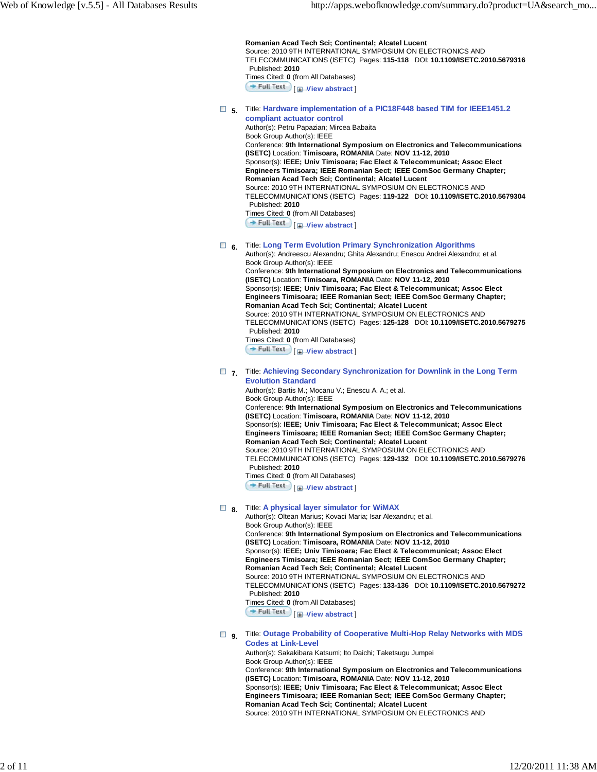**Romanian Acad Tech Sci; Continental; Alcatel Lucent** Source: 2010 9TH INTERNATIONAL SYMPOSIUM ON ELECTRONICS AND TELECOMMUNICATIONS (ISETC) Pages: **115-118** DOI: **10.1109/ISETC.2010.5679316** Published: **2010** Times Cited: **0** (from All Databases) [ **View abstract** ]

 **5.** Title: **Hardware implementation of a PIC18F448 based TIM for IEEE1451.2**

**compliant actuator control** Author(s): Petru Papazian; Mircea Babaita Book Group Author(s): IEEE Conference: **9th International Symposium on Electronics and Telecommunications (ISETC)** Location: **Timisoara, ROMANIA** Date: **NOV 11-12, 2010** Sponsor(s): **IEEE; Univ Timisoara; Fac Elect & Telecommunicat; Assoc Elect Engineers Timisoara; IEEE Romanian Sect; IEEE ComSoc Germany Chapter; Romanian Acad Tech Sci; Continental; Alcatel Lucent** Source: 2010 9TH INTERNATIONAL SYMPOSIUM ON ELECTRONICS AND TELECOMMUNICATIONS (ISETC) Pages: **119-122** DOI: **10.1109/ISETC.2010.5679304** Published: **2010** Times Cited: **0** (from All Databases)

**Full Text** [**H**-View abstract]

# **6.** Title: **Long Term Evolution Primary Synchronization Algorithms**

Author(s): Andreescu Alexandru; Ghita Alexandru; Enescu Andrei Alexandru; et al. Book Group Author(s): IEEE Conference: **9th International Symposium on Electronics and Telecommunications (ISETC)** Location: **Timisoara, ROMANIA** Date: **NOV 11-12, 2010**

Sponsor(s): **IEEE; Univ Timisoara; Fac Elect & Telecommunicat; Assoc Elect Engineers Timisoara; IEEE Romanian Sect; IEEE ComSoc Germany Chapter; Romanian Acad Tech Sci; Continental; Alcatel Lucent**

Source: 2010 9TH INTERNATIONAL SYMPOSIUM ON ELECTRONICS AND TELECOMMUNICATIONS (ISETC) Pages: **125-128** DOI: **10.1109/ISETC.2010.5679275** Published: **2010**

Times Cited: **0** (from All Databases)

**Full Text** | **I**-View abstract

#### **7.** Title: **Achieving Secondary Synchronization for Downlink in the Long Term Evolution Standard**

Author(s): Bartis M.; Mocanu V.; Enescu A. A.; et al. Book Group Author(s): IEEE Conference: **9th International Symposium on Electronics and Telecommunications (ISETC)** Location: **Timisoara, ROMANIA** Date: **NOV 11-12, 2010** Sponsor(s): **IEEE; Univ Timisoara; Fac Elect & Telecommunicat; Assoc Elect Engineers Timisoara; IEEE Romanian Sect; IEEE ComSoc Germany Chapter; Romanian Acad Tech Sci; Continental; Alcatel Lucent** Source: 2010 9TH INTERNATIONAL SYMPOSIUM ON ELECTRONICS AND TELECOMMUNICATIONS (ISETC) Pages: **129-132** DOI: **10.1109/ISETC.2010.5679276** Published: **2010** Times Cited: **0** (from All Databases)

**Full Text**  $\Box$  **View abstract** 

# **B** 8. Title: A physical layer simulator for WiMAX

Author(s): Oltean Marius; Kovaci Maria; Isar Alexandru; et al. Book Group Author(s): IEEE Conference: **9th International Symposium on Electronics and Telecommunications (ISETC)** Location: **Timisoara, ROMANIA** Date: **NOV 11-12, 2010** Sponsor(s): **IEEE; Univ Timisoara; Fac Elect & Telecommunicat; Assoc Elect Engineers Timisoara; IEEE Romanian Sect; IEEE ComSoc Germany Chapter; Romanian Acad Tech Sci; Continental; Alcatel Lucent** Source: 2010 9TH INTERNATIONAL SYMPOSIUM ON ELECTRONICS AND TELECOMMUNICATIONS (ISETC) Pages: **133-136** DOI: **10.1109/ISETC.2010.5679272** Published: **2010** Times Cited: **0** (from All Databases) **Full Text**  $\left[\frac{1}{2}\right]$  View abstract

 **9.** Title: **Outage Probability of Cooperative Multi-Hop Relay Networks with MDS Codes at Link-Level**

Author(s): Sakakibara Katsumi; Ito Daichi; Taketsugu Jumpei Book Group Author(s): IEEE Conference: **9th International Symposium on Electronics and Telecommunications (ISETC)** Location: **Timisoara, ROMANIA** Date: **NOV 11-12, 2010** Sponsor(s): **IEEE; Univ Timisoara; Fac Elect & Telecommunicat; Assoc Elect Engineers Timisoara; IEEE Romanian Sect; IEEE ComSoc Germany Chapter; Romanian Acad Tech Sci; Continental; Alcatel Lucent** Source: 2010 9TH INTERNATIONAL SYMPOSIUM ON ELECTRONICS AND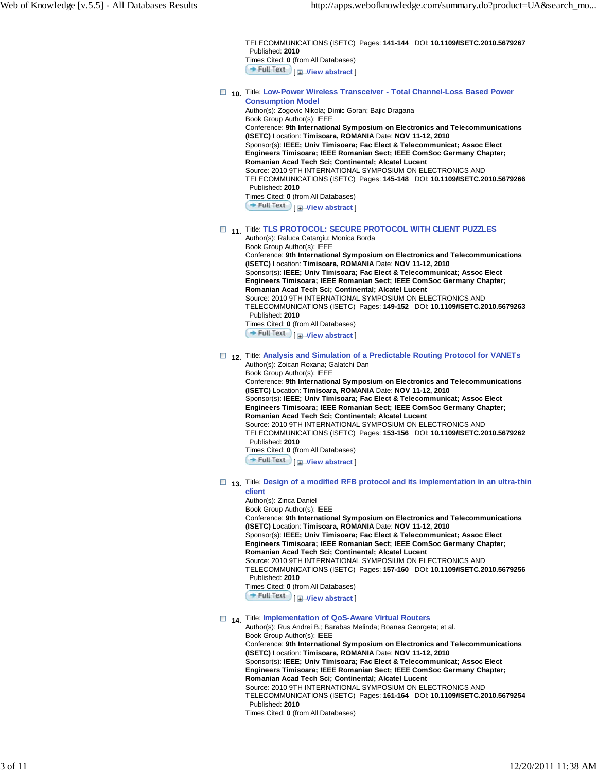TELECOMMUNICATIONS (ISETC) Pages: **141-144** DOI: **10.1109/ISETC.2010.5679267** Published: **2010** Times Cited: **0** (from All Databases) **Full Text** [**H**<sup>*I*</sup>-View abstract]

#### **10.** Title: **Low-Power Wireless Transceiver - Total Channel-Loss Based Power Consumption Model** Author(s): Zogovic Nikola; Dimic Goran; Bajic Dragana

Book Group Author(s): IEEE Conference: **9th International Symposium on Electronics and Telecommunications (ISETC)** Location: **Timisoara, ROMANIA** Date: **NOV 11-12, 2010** Sponsor(s): **IEEE; Univ Timisoara; Fac Elect & Telecommunicat; Assoc Elect Engineers Timisoara; IEEE Romanian Sect; IEEE ComSoc Germany Chapter; Romanian Acad Tech Sci; Continental; Alcatel Lucent** Source: 2010 9TH INTERNATIONAL SYMPOSIUM ON ELECTRONICS AND TELECOMMUNICATIONS (ISETC) Pages: **145-148** DOI: **10.1109/ISETC.2010.5679266** Published: **2010** Times Cited: **0** (from All Databases)

**Full Text**  $\Box$  **View abstract** 

# **11.** Title: **TLS PROTOCOL: SECURE PROTOCOL WITH CLIENT PUZZLES**

Author(s): Raluca Catargiu; Monica Borda Book Group Author(s): IEEE Conference: **9th International Symposium on Electronics and Telecommunications (ISETC)** Location: **Timisoara, ROMANIA** Date: **NOV 11-12, 2010** Sponsor(s): **IEEE; Univ Timisoara; Fac Elect & Telecommunicat; Assoc Elect Engineers Timisoara; IEEE Romanian Sect; IEEE ComSoc Germany Chapter; Romanian Acad Tech Sci; Continental; Alcatel Lucent** Source: 2010 9TH INTERNATIONAL SYMPOSIUM ON ELECTRONICS AND TELECOMMUNICATIONS (ISETC) Pages: **149-152** DOI: **10.1109/ISETC.2010.5679263** Published: **2010** Times Cited: **0** (from All Databases) [ **View abstract** ]

#### **12.** Title: **Analysis and Simulation of a Predictable Routing Protocol for VANETs** Author(s): Zoican Roxana; Galatchi Dan

Book Group Author(s): IEEE Conference: **9th International Symposium on Electronics and Telecommunications (ISETC)** Location: **Timisoara, ROMANIA** Date: **NOV 11-12, 2010** Sponsor(s): **IEEE; Univ Timisoara; Fac Elect & Telecommunicat; Assoc Elect Engineers Timisoara; IEEE Romanian Sect; IEEE ComSoc Germany Chapter; Romanian Acad Tech Sci; Continental; Alcatel Lucent** Source: 2010 9TH INTERNATIONAL SYMPOSIUM ON ELECTRONICS AND TELECOMMUNICATIONS (ISETC) Pages: **153-156** DOI: **10.1109/ISETC.2010.5679262** Published: **2010** Times Cited: **0** (from All Databases)

[ **View abstract** ]

#### □ 13. Title: Design of a modified RFB protocol and its implementation in an ultra-thin **client**

Author(s): Zinca Daniel

Book Group Author(s): IEEE

Conference: **9th International Symposium on Electronics and Telecommunications (ISETC)** Location: **Timisoara, ROMANIA** Date: **NOV 11-12, 2010** Sponsor(s): **IEEE; Univ Timisoara; Fac Elect & Telecommunicat; Assoc Elect Engineers Timisoara; IEEE Romanian Sect; IEEE ComSoc Germany Chapter; Romanian Acad Tech Sci; Continental; Alcatel Lucent** Source: 2010 9TH INTERNATIONAL SYMPOSIUM ON ELECTRONICS AND TELECOMMUNICATIONS (ISETC) Pages: **157-160** DOI: **10.1109/ISETC.2010.5679256**

Published: **2010**

Times Cited: **0** (from All Databases)

[ **View abstract** ]

# **14.** Title: **Implementation of QoS-Aware Virtual Routers**

Author(s): Rus Andrei B.; Barabas Melinda; Boanea Georgeta; et al. Book Group Author(s): IEEE Conference: **9th International Symposium on Electronics and Telecommunications (ISETC)** Location: **Timisoara, ROMANIA** Date: **NOV 11-12, 2010** Sponsor(s): **IEEE; Univ Timisoara; Fac Elect & Telecommunicat; Assoc Elect Engineers Timisoara; IEEE Romanian Sect; IEEE ComSoc Germany Chapter; Romanian Acad Tech Sci; Continental; Alcatel Lucent** Source: 2010 9TH INTERNATIONAL SYMPOSIUM ON ELECTRONICS AND TELECOMMUNICATIONS (ISETC) Pages: **161-164** DOI: **10.1109/ISETC.2010.5679254** Published: **2010**

Times Cited: **0** (from All Databases)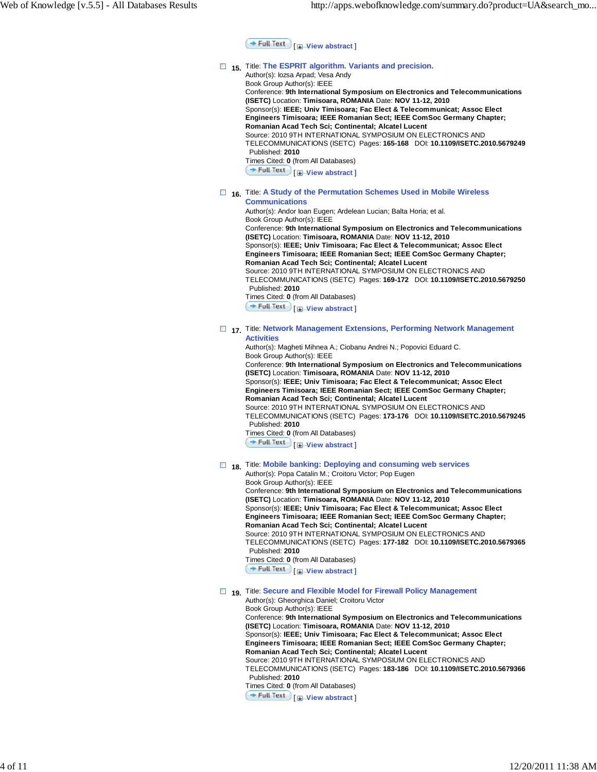**Full Text** | **H**-View abstract

### $\Box$  15. Title: **The ESPRIT algorithm. Variants and precision.**

Author(s): Iozsa Arpad; Vesa Andy

Book Group Author(s): IEEE Conference: **9th International Symposium on Electronics and Telecommunications (ISETC)** Location: **Timisoara, ROMANIA** Date: **NOV 11-12, 2010** Sponsor(s): **IEEE; Univ Timisoara; Fac Elect & Telecommunicat; Assoc Elect Engineers Timisoara; IEEE Romanian Sect; IEEE ComSoc Germany Chapter; Romanian Acad Tech Sci; Continental; Alcatel Lucent** Source: 2010 9TH INTERNATIONAL SYMPOSIUM ON ELECTRONICS AND TELECOMMUNICATIONS (ISETC) Pages: **165-168** DOI: **10.1109/ISETC.2010.5679249** Published: **2010** Times Cited: **0** (from All Databases) [ **View abstract** ]  **16.** Title: **A Study of the Permutation Schemes Used in Mobile Wireless**

# **Communications**

Author(s): Andor Ioan Eugen; Ardelean Lucian; Balta Horia; et al.

Book Group Author(s): IEEE Conference: **9th International Symposium on Electronics and Telecommunications (ISETC)** Location: **Timisoara, ROMANIA** Date: **NOV 11-12, 2010** Sponsor(s): **IEEE; Univ Timisoara; Fac Elect & Telecommunicat; Assoc Elect Engineers Timisoara; IEEE Romanian Sect; IEEE ComSoc Germany Chapter; Romanian Acad Tech Sci; Continental; Alcatel Lucent** Source: 2010 9TH INTERNATIONAL SYMPOSIUM ON ELECTRONICS AND TELECOMMUNICATIONS (ISETC) Pages: **169-172** DOI: **10.1109/ISETC.2010.5679250** Published: **2010** Times Cited: **0** (from All Databases) [ **View abstract** ]

#### **17.** Title: **Network Management Extensions, Performing Network Management Activities**

Author(s): Magheti Mihnea A.; Ciobanu Andrei N.; Popovici Eduard C. Book Group Author(s): IEEE Conference: **9th International Symposium on Electronics and Telecommunications (ISETC)** Location: **Timisoara, ROMANIA** Date: **NOV 11-12, 2010** Sponsor(s): **IEEE; Univ Timisoara; Fac Elect & Telecommunicat; Assoc Elect Engineers Timisoara; IEEE Romanian Sect; IEEE ComSoc Germany Chapter; Romanian Acad Tech Sci; Continental; Alcatel Lucent** Source: 2010 9TH INTERNATIONAL SYMPOSIUM ON ELECTRONICS AND TELECOMMUNICATIONS (ISETC) Pages: **173-176** DOI: **10.1109/ISETC.2010.5679245** Published: **2010** Times Cited: **0** (from All Databases) **Full Text**  $\mathbf{F}$  **Wiew abstract** 

# **18.** Title: Mobile banking: Deploying and consuming web services

Author(s): Popa Catalin M.; Croitoru Victor; Pop Eugen Book Group Author(s): IEEE Conference: **9th International Symposium on Electronics and Telecommunications (ISETC)** Location: **Timisoara, ROMANIA** Date: **NOV 11-12, 2010** Sponsor(s): **IEEE; Univ Timisoara; Fac Elect & Telecommunicat; Assoc Elect Engineers Timisoara; IEEE Romanian Sect; IEEE ComSoc Germany Chapter; Romanian Acad Tech Sci; Continental; Alcatel Lucent** Source: 2010 9TH INTERNATIONAL SYMPOSIUM ON ELECTRONICS AND TELECOMMUNICATIONS (ISETC) Pages: **177-182** DOI: **10.1109/ISETC.2010.5679365** Published: **2010** Times Cited: **0** (from All Databases) **Full Text**  $\Box$  **View abstract** 

# **19.** Title: Secure and Flexible Model for Firewall Policy Management

Author(s): Gheorghica Daniel; Croitoru Victor Book Group Author(s): IEEE Conference: **9th International Symposium on Electronics and Telecommunications (ISETC)** Location: **Timisoara, ROMANIA** Date: **NOV 11-12, 2010** Sponsor(s): **IEEE; Univ Timisoara; Fac Elect & Telecommunicat; Assoc Elect Engineers Timisoara; IEEE Romanian Sect; IEEE ComSoc Germany Chapter; Romanian Acad Tech Sci; Continental; Alcatel Lucent** Source: 2010 9TH INTERNATIONAL SYMPOSIUM ON ELECTRONICS AND TELECOMMUNICATIONS (ISETC) Pages: **183-186** DOI: **10.1109/ISETC.2010.5679366** Published: **2010** Times Cited: **0** (from All Databases) [ **View abstract** ]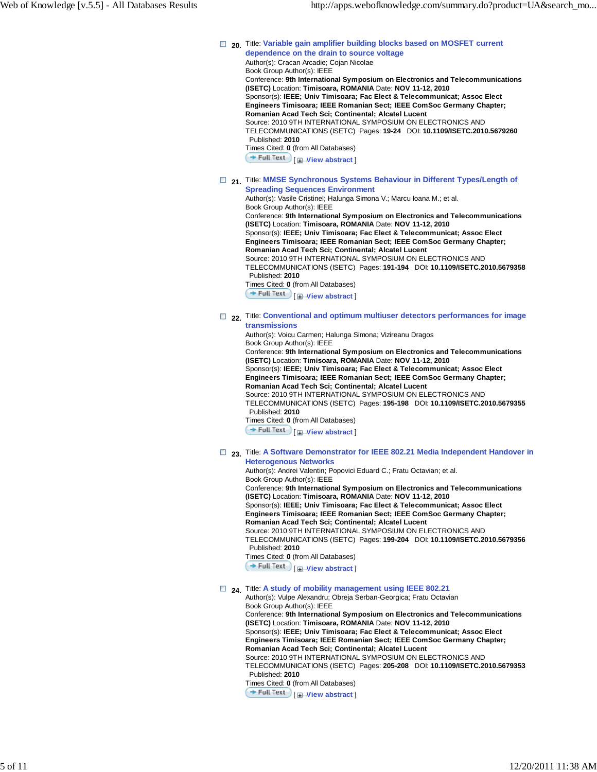#### □ 20. Title: Variable gain amplifier building blocks based on MOSFET current **dependence on the drain to source voltage** Author(s): Cracan Arcadie; Cojan Nicolae Book Group Author(s): IEEE Conference: **9th International Symposium on Electronics and Telecommunications**

**(ISETC)** Location: **Timisoara, ROMANIA** Date: **NOV 11-12, 2010** Sponsor(s): **IEEE; Univ Timisoara; Fac Elect & Telecommunicat; Assoc Elect Engineers Timisoara; IEEE Romanian Sect; IEEE ComSoc Germany Chapter; Romanian Acad Tech Sci; Continental; Alcatel Lucent** Source: 2010 9TH INTERNATIONAL SYMPOSIUM ON ELECTRONICS AND TELECOMMUNICATIONS (ISETC) Pages: **19-24** DOI: **10.1109/ISETC.2010.5679260** Published: **2010** Times Cited: **0** (from All Databases)

**Full Text**  $\Box$  **View abstract** 

#### □ 21. Title: **MMSE Synchronous Systems Behaviour in Different Types/Length of Spreading Sequences Environment**

Author(s): Vasile Cristinel; Halunga Simona V.; Marcu Ioana M.; et al. Book Group Author(s): IEEE Conference: **9th International Symposium on Electronics and Telecommunications**

**(ISETC)** Location: **Timisoara, ROMANIA** Date: **NOV 11-12, 2010** Sponsor(s): **IEEE; Univ Timisoara; Fac Elect & Telecommunicat; Assoc Elect Engineers Timisoara; IEEE Romanian Sect; IEEE ComSoc Germany Chapter; Romanian Acad Tech Sci; Continental; Alcatel Lucent** Source: 2010 9TH INTERNATIONAL SYMPOSIUM ON ELECTRONICS AND

TELECOMMUNICATIONS (ISETC) Pages: **191-194** DOI: **10.1109/ISETC.2010.5679358** Published: **2010**

Times Cited: **0** (from All Databases)

**Full Text** | **I**-View abstract ]

 **22.** Title: **Conventional and optimum multiuser detectors performances for image transmissions**

Author(s): Voicu Carmen; Halunga Simona; Vizireanu Dragos Book Group Author(s): IEEE Conference: **9th International Symposium on Electronics and Telecommunications (ISETC)** Location: **Timisoara, ROMANIA** Date: **NOV 11-12, 2010** Sponsor(s): **IEEE; Univ Timisoara; Fac Elect & Telecommunicat; Assoc Elect Engineers Timisoara; IEEE Romanian Sect; IEEE ComSoc Germany Chapter; Romanian Acad Tech Sci; Continental; Alcatel Lucent** Source: 2010 9TH INTERNATIONAL SYMPOSIUM ON ELECTRONICS AND TELECOMMUNICATIONS (ISETC) Pages: **195-198** DOI: **10.1109/ISETC.2010.5679355** Published: **2010** Times Cited: **0** (from All Databases) [ **View abstract** ]

#### **23.** Title: **A Software Demonstrator for IEEE 802.21 Media Independent Handover in Heterogenous Networks**

Author(s): Andrei Valentin; Popovici Eduard C.; Fratu Octavian; et al.

Book Group Author(s): IEEE Conference: **9th International Symposium on Electronics and Telecommunications (ISETC)** Location: **Timisoara, ROMANIA** Date: **NOV 11-12, 2010** Sponsor(s): **IEEE; Univ Timisoara; Fac Elect & Telecommunicat; Assoc Elect Engineers Timisoara; IEEE Romanian Sect; IEEE ComSoc Germany Chapter; Romanian Acad Tech Sci; Continental; Alcatel Lucent** Source: 2010 9TH INTERNATIONAL SYMPOSIUM ON ELECTRONICS AND TELECOMMUNICATIONS (ISETC) Pages: **199-204** DOI: **10.1109/ISETC.2010.5679356** Published: **2010** Times Cited: **0** (from All Databases) **Full Text** | **Wiew abstract** 

### $\Box$  <sub>24</sub>. Title: A study of mobility management using IEEE 802.21

Author(s): Vulpe Alexandru; Obreja Serban-Georgica; Fratu Octavian Book Group Author(s): IEEE Conference: **9th International Symposium on Electronics and Telecommunications (ISETC)** Location: **Timisoara, ROMANIA** Date: **NOV 11-12, 2010** Sponsor(s): **IEEE; Univ Timisoara; Fac Elect & Telecommunicat; Assoc Elect Engineers Timisoara; IEEE Romanian Sect; IEEE ComSoc Germany Chapter; Romanian Acad Tech Sci; Continental; Alcatel Lucent** Source: 2010 9TH INTERNATIONAL SYMPOSIUM ON ELECTRONICS AND TELECOMMUNICATIONS (ISETC) Pages: **205-208** DOI: **10.1109/ISETC.2010.5679353** Published: **2010** Times Cited: **0** (from All Databases) **Full Text**  $\Box$  **View abstract**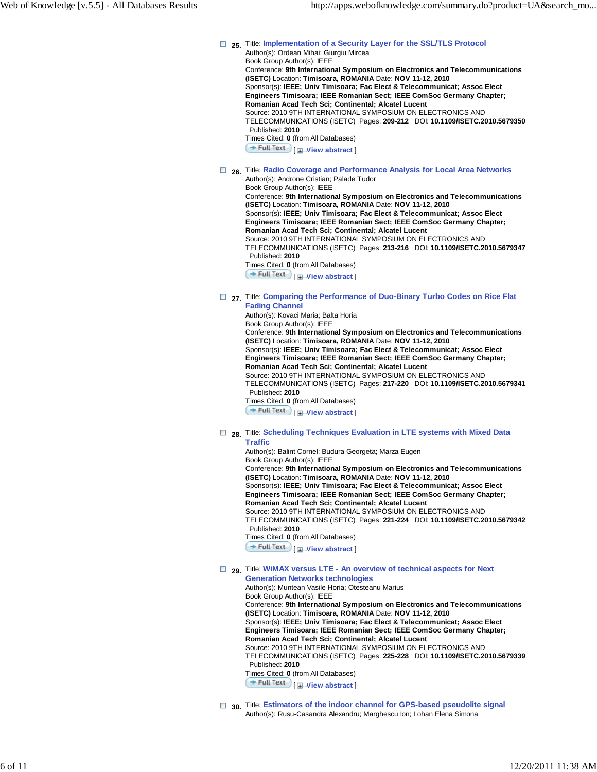**1** 25. Title: Implementation of a Security Layer for the SSL/TLS Protocol Author(s): Ordean Mihai; Giurgiu Mircea Book Group Author(s): IEEE Conference: **9th International Symposium on Electronics and Telecommunications (ISETC)** Location: **Timisoara, ROMANIA** Date: **NOV 11-12, 2010** Sponsor(s): **IEEE; Univ Timisoara; Fac Elect & Telecommunicat; Assoc Elect Engineers Timisoara; IEEE Romanian Sect; IEEE ComSoc Germany Chapter; Romanian Acad Tech Sci; Continental; Alcatel Lucent** Source: 2010 9TH INTERNATIONAL SYMPOSIUM ON ELECTRONICS AND TELECOMMUNICATIONS (ISETC) Pages: **209-212** DOI: **10.1109/ISETC.2010.5679350** Published: **2010** Times Cited: **0** (from All Databases) **Full Text**  $\Box$  **View abstract 26.** Title: **Radio Coverage and Performance Analysis for Local Area Networks** Author(s): Androne Cristian; Palade Tudor Book Group Author(s): IEEE

Conference: **9th International Symposium on Electronics and Telecommunications (ISETC)** Location: **Timisoara, ROMANIA** Date: **NOV 11-12, 2010** Sponsor(s): **IEEE; Univ Timisoara; Fac Elect & Telecommunicat; Assoc Elect Engineers Timisoara; IEEE Romanian Sect; IEEE ComSoc Germany Chapter; Romanian Acad Tech Sci; Continental; Alcatel Lucent** Source: 2010 9TH INTERNATIONAL SYMPOSIUM ON ELECTRONICS AND TELECOMMUNICATIONS (ISETC) Pages: **213-216** DOI: **10.1109/ISETC.2010.5679347** Published: **2010** Times Cited: **0** (from All Databases) **Full Text**  $\Box$  **View abstract** 

### □ 27. Title: Comparing the Performance of Duo-Binary Turbo Codes on Rice Flat **Fading Channel**

Author(s): Kovaci Maria; Balta Horia Book Group Author(s): IEEE Conference: **9th International Symposium on Electronics and Telecommunications (ISETC)** Location: **Timisoara, ROMANIA** Date: **NOV 11-12, 2010** Sponsor(s): **IEEE; Univ Timisoara; Fac Elect & Telecommunicat; Assoc Elect Engineers Timisoara; IEEE Romanian Sect; IEEE ComSoc Germany Chapter; Romanian Acad Tech Sci; Continental; Alcatel Lucent** Source: 2010 9TH INTERNATIONAL SYMPOSIUM ON ELECTRONICS AND TELECOMMUNICATIONS (ISETC) Pages: **217-220** DOI: **10.1109/ISETC.2010.5679341** Published: **2010** Times Cited: **0** (from All Databases) [ **View abstract** ]

#### **28.** Title: **Scheduling Techniques Evaluation in LTE systems with Mixed Data Traffic**

Author(s): Balint Cornel; Budura Georgeta; Marza Eugen Book Group Author(s): IEEE Conference: **9th International Symposium on Electronics and Telecommunications (ISETC)** Location: **Timisoara, ROMANIA** Date: **NOV 11-12, 2010** Sponsor(s): **IEEE; Univ Timisoara; Fac Elect & Telecommunicat; Assoc Elect Engineers Timisoara; IEEE Romanian Sect; IEEE ComSoc Germany Chapter; Romanian Acad Tech Sci; Continental; Alcatel Lucent** Source: 2010 9TH INTERNATIONAL SYMPOSIUM ON ELECTRONICS AND TELECOMMUNICATIONS (ISETC) Pages: **221-224** DOI: **10.1109/ISETC.2010.5679342** Published: **2010** Times Cited: **0** (from All Databases) [ **View abstract** ]

#### **29.** Title: **WiMAX versus LTE - An overview of technical aspects for Next Generation Networks technologies**

Author(s): Muntean Vasile Horia; Otesteanu Marius Book Group Author(s): IEEE Conference: **9th International Symposium on Electronics and Telecommunications (ISETC)** Location: **Timisoara, ROMANIA** Date: **NOV 11-12, 2010** Sponsor(s): **IEEE; Univ Timisoara; Fac Elect & Telecommunicat; Assoc Elect Engineers Timisoara; IEEE Romanian Sect; IEEE ComSoc Germany Chapter; Romanian Acad Tech Sci; Continental; Alcatel Lucent** Source: 2010 9TH INTERNATIONAL SYMPOSIUM ON ELECTRONICS AND TELECOMMUNICATIONS (ISETC) Pages: **225-228** DOI: **10.1109/ISETC.2010.5679339** Published: **2010** Times Cited: **0** (from All Databases) **Full Text**  $\Box$  **View abstract** 

□ 30. Title: Estimators of the indoor channel for GPS-based pseudolite signal Author(s): Rusu-Casandra Alexandru; Marghescu Ion; Lohan Elena Simona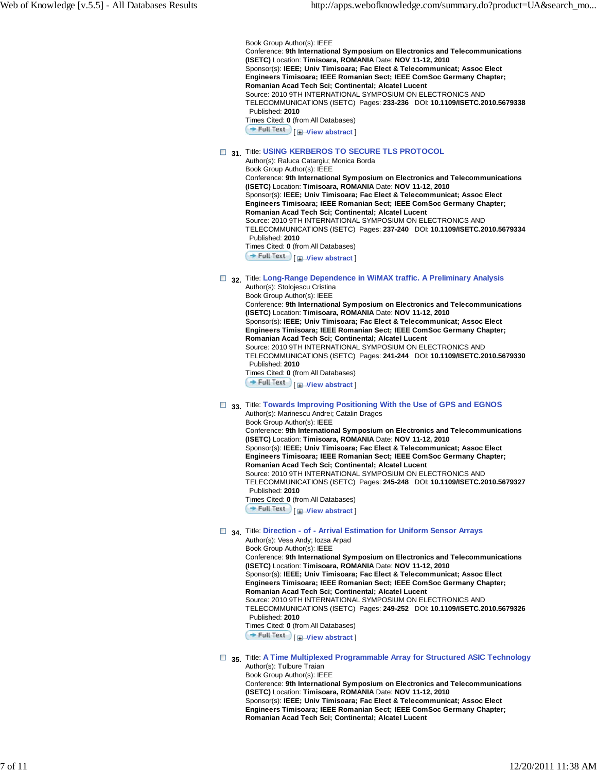Book Group Author(s): IEEE Conference: **9th International Symposium on Electronics and Telecommunications (ISETC)** Location: **Timisoara, ROMANIA** Date: **NOV 11-12, 2010** Sponsor(s): **IEEE; Univ Timisoara; Fac Elect & Telecommunicat; Assoc Elect Engineers Timisoara; IEEE Romanian Sect; IEEE ComSoc Germany Chapter; Romanian Acad Tech Sci; Continental; Alcatel Lucent** Source: 2010 9TH INTERNATIONAL SYMPOSIUM ON ELECTRONICS AND TELECOMMUNICATIONS (ISETC) Pages: **233-236** DOI: **10.1109/ISETC.2010.5679338** Published: **2010** Times Cited: **0** (from All Databases) **Full Text H** View abstract

# **B** 31. Title: USING KERBEROS TO SECURE TLS PROTOCOL

Author(s): Raluca Catargiu; Monica Borda Book Group Author(s): IEEE Conference: **9th International Symposium on Electronics and Telecommunications (ISETC)** Location: **Timisoara, ROMANIA** Date: **NOV 11-12, 2010** Sponsor(s): **IEEE; Univ Timisoara; Fac Elect & Telecommunicat; Assoc Elect Engineers Timisoara; IEEE Romanian Sect; IEEE ComSoc Germany Chapter; Romanian Acad Tech Sci; Continental; Alcatel Lucent** Source: 2010 9TH INTERNATIONAL SYMPOSIUM ON ELECTRONICS AND TELECOMMUNICATIONS (ISETC) Pages: **237-240** DOI: **10.1109/ISETC.2010.5679334** Published: **2010** Times Cited: **0** (from All Databases) **Full Text**  $\left[\frac{1}{2}\right]$  View abstract

#### **32.** Title: **Long-Range Dependence in WiMAX traffic. A Preliminary Analysis** Author(s): Stolojescu Cristina

Book Group Author(s): IEEE Conference: **9th International Symposium on Electronics and Telecommunications (ISETC)** Location: **Timisoara, ROMANIA** Date: **NOV 11-12, 2010** Sponsor(s): **IEEE; Univ Timisoara; Fac Elect & Telecommunicat; Assoc Elect Engineers Timisoara; IEEE Romanian Sect; IEEE ComSoc Germany Chapter; Romanian Acad Tech Sci; Continental; Alcatel Lucent** Source: 2010 9TH INTERNATIONAL SYMPOSIUM ON ELECTRONICS AND TELECOMMUNICATIONS (ISETC) Pages: **241-244** DOI: **10.1109/ISETC.2010.5679330** Published: **2010** Times Cited: **0** (from All Databases) **Full Text I Wiew abstract** 

#### **33.** Title: **Towards Improving Positioning With the Use of GPS and EGNOS** Author(s): Marinescu Andrei; Catalin Dragos

Book Group Author(s): IEEE Conference: **9th International Symposium on Electronics and Telecommunications (ISETC)** Location: **Timisoara, ROMANIA** Date: **NOV 11-12, 2010** Sponsor(s): **IEEE; Univ Timisoara; Fac Elect & Telecommunicat; Assoc Elect Engineers Timisoara; IEEE Romanian Sect; IEEE ComSoc Germany Chapter; Romanian Acad Tech Sci; Continental; Alcatel Lucent** Source: 2010 9TH INTERNATIONAL SYMPOSIUM ON ELECTRONICS AND TELECOMMUNICATIONS (ISETC) Pages: **245-248** DOI: **10.1109/ISETC.2010.5679327** Published: **2010** Times Cited: **0** (from All Databases) [ **View abstract** ]

# **34.** Title: **Direction - of - Arrival Estimation for Uniform Sensor Arrays**

Author(s): Vesa Andy; Iozsa Arpad Book Group Author(s): IEEE Conference: **9th International Symposium on Electronics and Telecommunications (ISETC)** Location: **Timisoara, ROMANIA** Date: **NOV 11-12, 2010** Sponsor(s): **IEEE; Univ Timisoara; Fac Elect & Telecommunicat; Assoc Elect Engineers Timisoara; IEEE Romanian Sect; IEEE ComSoc Germany Chapter; Romanian Acad Tech Sci; Continental; Alcatel Lucent** Source: 2010 9TH INTERNATIONAL SYMPOSIUM ON ELECTRONICS AND TELECOMMUNICATIONS (ISETC) Pages: **249-252** DOI: **10.1109/ISETC.2010.5679326** Published: **2010** Times Cited: **0** (from All Databases) [ **View abstract** ]

 **35.** Title: **A Time Multiplexed Programmable Array for Structured ASIC Technology** Author(s): Tulbure Traian

Book Group Author(s): IEEE Conference: **9th International Symposium on Electronics and Telecommunications (ISETC)** Location: **Timisoara, ROMANIA** Date: **NOV 11-12, 2010** Sponsor(s): **IEEE; Univ Timisoara; Fac Elect & Telecommunicat; Assoc Elect Engineers Timisoara; IEEE Romanian Sect; IEEE ComSoc Germany Chapter; Romanian Acad Tech Sci; Continental; Alcatel Lucent**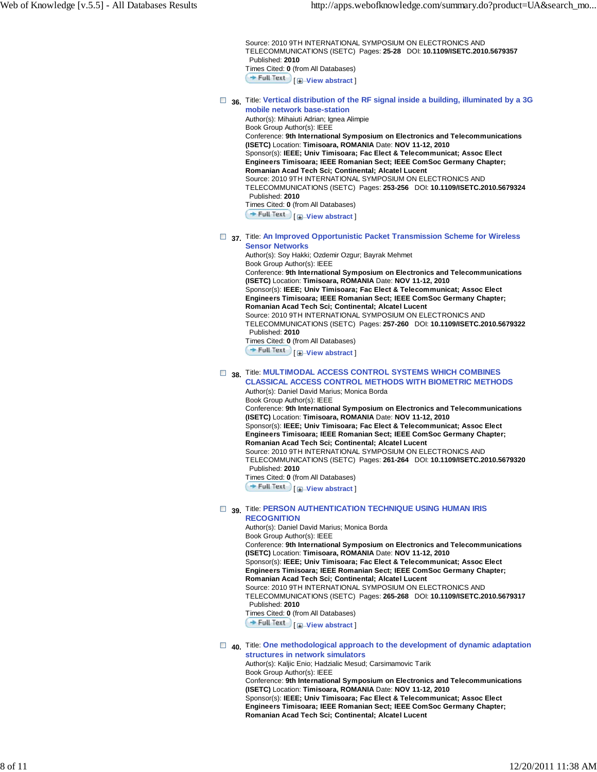Source: 2010 9TH INTERNATIONAL SYMPOSIUM ON ELECTRONICS AND TELECOMMUNICATIONS (ISETC) Pages: **25-28** DOI: **10.1109/ISETC.2010.5679357** Published: **2010** Times Cited: **0** (from All Databases) **Full Text I H**-View abstract

 **36.** Title: **Vertical distribution of the RF signal inside a building, illuminated by a 3G mobile network base-station**

Author(s): Mihaiuti Adrian; Ignea Alimpie Book Group Author(s): IEEE Conference: **9th International Symposium on Electronics and Telecommunications (ISETC)** Location: **Timisoara, ROMANIA** Date: **NOV 11-12, 2010** Sponsor(s): **IEEE; Univ Timisoara; Fac Elect & Telecommunicat; Assoc Elect Engineers Timisoara; IEEE Romanian Sect; IEEE ComSoc Germany Chapter; Romanian Acad Tech Sci; Continental; Alcatel Lucent** Source: 2010 9TH INTERNATIONAL SYMPOSIUM ON ELECTRONICS AND TELECOMMUNICATIONS (ISETC) Pages: **253-256** DOI: **10.1109/ISETC.2010.5679324** Published: **2010** Times Cited: **0** (from All Databases)  $\div$  **Full Text**  $\begin{bmatrix} \text{⊒} - \text{View } \text{ abstract} \end{bmatrix}$ 

 **37.** Title: **An Improved Opportunistic Packet Transmission Scheme for Wireless Sensor Networks**

Author(s): Soy Hakki; Ozdemir Ozgur; Bayrak Mehmet Book Group Author(s): IEEE Conference: **9th International Symposium on Electronics and Telecommunications (ISETC)** Location: **Timisoara, ROMANIA** Date: **NOV 11-12, 2010** Sponsor(s): **IEEE; Univ Timisoara; Fac Elect & Telecommunicat; Assoc Elect Engineers Timisoara; IEEE Romanian Sect; IEEE ComSoc Germany Chapter; Romanian Acad Tech Sci; Continental; Alcatel Lucent** Source: 2010 9TH INTERNATIONAL SYMPOSIUM ON ELECTRONICS AND TELECOMMUNICATIONS (ISETC) Pages: **257-260** DOI: **10.1109/ISETC.2010.5679322**

#### Published: **2010** Times Cited: **0** (from All Databases)

**Full Text**  $\Box$  **View abstract** 

### **38.** Title: **MULTIMODAL ACCESS CONTROL SYSTEMS WHICH COMBINES CLASSICAL ACCESS CONTROL METHODS WITH BIOMETRIC METHODS**

Author(s): Daniel David Marius; Monica Borda Book Group Author(s): IEEE Conference: **9th International Symposium on Electronics and Telecommunications (ISETC)** Location: **Timisoara, ROMANIA** Date: **NOV 11-12, 2010** Sponsor(s): **IEEE; Univ Timisoara; Fac Elect & Telecommunicat; Assoc Elect Engineers Timisoara; IEEE Romanian Sect; IEEE ComSoc Germany Chapter; Romanian Acad Tech Sci; Continental; Alcatel Lucent** Source: 2010 9TH INTERNATIONAL SYMPOSIUM ON ELECTRONICS AND TELECOMMUNICATIONS (ISETC) Pages: **261-264** DOI: **10.1109/ISETC.2010.5679320** Published: **2010** Times Cited: **0** (from All Databases)

**Full Text**  $\Box$  **View abstract** 

#### **B** 39. Title: **PERSON AUTHENTICATION TECHNIQUE USING HUMAN IRIS RECOGNITION**

Author(s): Daniel David Marius; Monica Borda Book Group Author(s): IEEE Conference: **9th International Symposium on Electronics and Telecommunications (ISETC)** Location: **Timisoara, ROMANIA** Date: **NOV 11-12, 2010** Sponsor(s): **IEEE; Univ Timisoara; Fac Elect & Telecommunicat; Assoc Elect Engineers Timisoara; IEEE Romanian Sect; IEEE ComSoc Germany Chapter; Romanian Acad Tech Sci; Continental; Alcatel Lucent** Source: 2010 9TH INTERNATIONAL SYMPOSIUM ON ELECTRONICS AND TELECOMMUNICATIONS (ISETC) Pages: **265-268** DOI: **10.1109/ISETC.2010.5679317** Published: **2010** Times Cited: **0** (from All Databases) **Full Text**  $\left[\frac{1}{2}\right]$  View abstract

### **40.** Title: **One methodological approach to the development of dynamic adaptation structures in network simulators**

Author(s): Kaljic Enio; Hadzialic Mesud; Carsimamovic Tarik Book Group Author(s): IEEE Conference: **9th International Symposium on Electronics and Telecommunications (ISETC)** Location: **Timisoara, ROMANIA** Date: **NOV 11-12, 2010** Sponsor(s): **IEEE; Univ Timisoara; Fac Elect & Telecommunicat; Assoc Elect Engineers Timisoara; IEEE Romanian Sect; IEEE ComSoc Germany Chapter; Romanian Acad Tech Sci; Continental; Alcatel Lucent**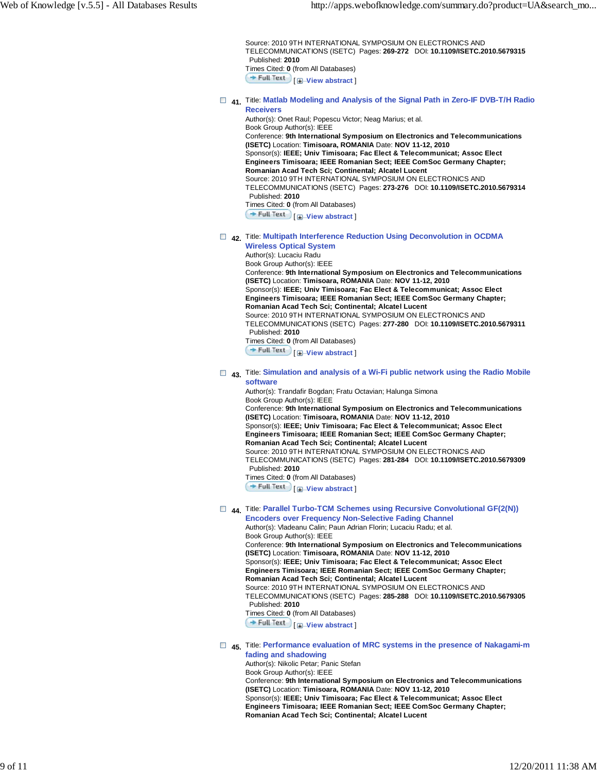Source: 2010 9TH INTERNATIONAL SYMPOSIUM ON ELECTRONICS AND TELECOMMUNICATIONS (ISETC) Pages: **269-272** DOI: **10.1109/ISETC.2010.5679315** Published: **2010** Times Cited: **0** (from All Databases) **Full Text I H**-View abstract

 **41.** Title: **Matlab Modeling and Analysis of the Signal Path in Zero-IF DVB-T/H Radio Receivers**

Author(s): Onet Raul; Popescu Victor; Neag Marius; et al. Book Group Author(s): IEEE Conference: **9th International Symposium on Electronics and Telecommunications (ISETC)** Location: **Timisoara, ROMANIA** Date: **NOV 11-12, 2010** Sponsor(s): **IEEE; Univ Timisoara; Fac Elect & Telecommunicat; Assoc Elect Engineers Timisoara; IEEE Romanian Sect; IEEE ComSoc Germany Chapter; Romanian Acad Tech Sci; Continental; Alcatel Lucent** Source: 2010 9TH INTERNATIONAL SYMPOSIUM ON ELECTRONICS AND TELECOMMUNICATIONS (ISETC) Pages: **273-276** DOI: **10.1109/ISETC.2010.5679314** Published: **2010** Times Cited: **0** (from All Databases)  $\div$  **Full Text**  $\begin{bmatrix} \text{⊒} - \text{View } \text{ abstract} \end{bmatrix}$ 

 **42.** Title: **Multipath Interference Reduction Using Deconvolution in OCDMA**

**Wireless Optical System** Author(s): Lucaciu Radu Book Group Author(s): IEEE Conference: **9th International Symposium on Electronics and Telecommunications (ISETC)** Location: **Timisoara, ROMANIA** Date: **NOV 11-12, 2010** Sponsor(s): **IEEE; Univ Timisoara; Fac Elect & Telecommunicat; Assoc Elect Engineers Timisoara; IEEE Romanian Sect; IEEE ComSoc Germany Chapter; Romanian Acad Tech Sci; Continental; Alcatel Lucent** Source: 2010 9TH INTERNATIONAL SYMPOSIUM ON ELECTRONICS AND TELECOMMUNICATIONS (ISETC) Pages: **277-280** DOI: **10.1109/ISETC.2010.5679311** Published: **2010**

Times Cited: **0** (from All Databases)

**Full Text**  $\Box$  **View abstract** 

#### **43.** Title: **Simulation and analysis of a Wi-Fi public network using the Radio Mobile software**

Author(s): Trandafir Bogdan; Fratu Octavian; Halunga Simona Book Group Author(s): IEEE Conference: **9th International Symposium on Electronics and Telecommunications (ISETC)** Location: **Timisoara, ROMANIA** Date: **NOV 11-12, 2010** Sponsor(s): **IEEE; Univ Timisoara; Fac Elect & Telecommunicat; Assoc Elect Engineers Timisoara; IEEE Romanian Sect; IEEE ComSoc Germany Chapter; Romanian Acad Tech Sci; Continental; Alcatel Lucent** Source: 2010 9TH INTERNATIONAL SYMPOSIUM ON ELECTRONICS AND TELECOMMUNICATIONS (ISETC) Pages: **281-284** DOI: **10.1109/ISETC.2010.5679309** Published: **2010** Times Cited: **0** (from All Databases)

**Full Text I H** View abstract

 **44.** Title: **Parallel Turbo-TCM Schemes using Recursive Convolutional GF(2(N))**

**Encoders over Frequency Non-Selective Fading Channel** Author(s): Vladeanu Calin; Paun Adrian Florin; Lucaciu Radu; et al. Book Group Author(s): IEEE Conference: **9th International Symposium on Electronics and Telecommunications (ISETC)** Location: **Timisoara, ROMANIA** Date: **NOV 11-12, 2010** Sponsor(s): **IEEE; Univ Timisoara; Fac Elect & Telecommunicat; Assoc Elect Engineers Timisoara; IEEE Romanian Sect; IEEE ComSoc Germany Chapter; Romanian Acad Tech Sci; Continental; Alcatel Lucent** Source: 2010 9TH INTERNATIONAL SYMPOSIUM ON ELECTRONICS AND TELECOMMUNICATIONS (ISETC) Pages: **285-288** DOI: **10.1109/ISETC.2010.5679305** Published: **2010** Times Cited: **0** (from All Databases) **Full Text**  $\bigoplus$  **View abstract** 

### **45.** Title: **Performance evaluation of MRC systems in the presence of Nakagami-m fading and shadowing**

Author(s): Nikolic Petar; Panic Stefan Book Group Author(s): IEEE Conference: **9th International Symposium on Electronics and Telecommunications (ISETC)** Location: **Timisoara, ROMANIA** Date: **NOV 11-12, 2010** Sponsor(s): **IEEE; Univ Timisoara; Fac Elect & Telecommunicat; Assoc Elect Engineers Timisoara; IEEE Romanian Sect; IEEE ComSoc Germany Chapter; Romanian Acad Tech Sci; Continental; Alcatel Lucent**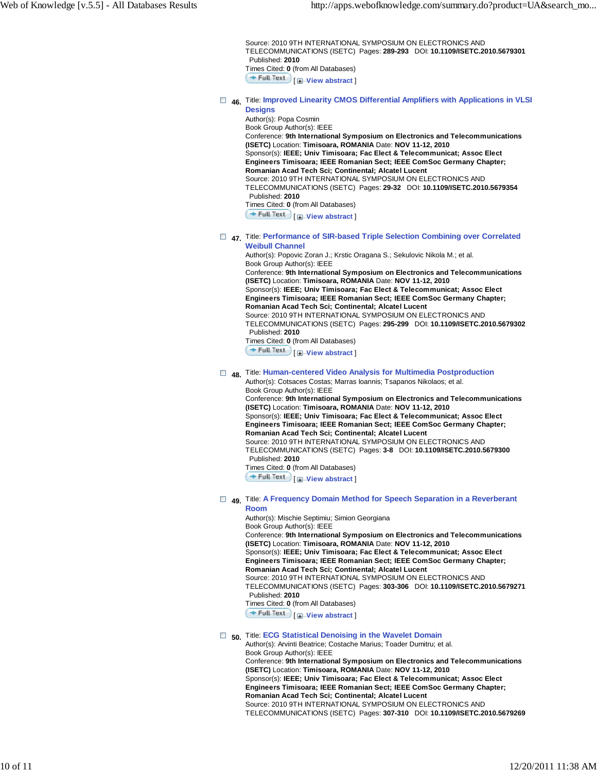Source: 2010 9TH INTERNATIONAL SYMPOSIUM ON ELECTRONICS AND TELECOMMUNICATIONS (ISETC) Pages: **289-293** DOI: **10.1109/ISETC.2010.5679301** Published: **2010** Times Cited: **0** (from All Databases) **Full Text** [**H**-View abstract ]

 **46.** Title: **Improved Linearity CMOS Differential Amplifiers with Applications in VLSI Designs**

Author(s): Popa Cosmin Book Group Author(s): IEEE Conference: **9th International Symposium on Electronics and Telecommunications (ISETC)** Location: **Timisoara, ROMANIA** Date: **NOV 11-12, 2010** Sponsor(s): **IEEE; Univ Timisoara; Fac Elect & Telecommunicat; Assoc Elect Engineers Timisoara; IEEE Romanian Sect; IEEE ComSoc Germany Chapter; Romanian Acad Tech Sci; Continental; Alcatel Lucent** Source: 2010 9TH INTERNATIONAL SYMPOSIUM ON ELECTRONICS AND TELECOMMUNICATIONS (ISETC) Pages: **29-32** DOI: **10.1109/ISETC.2010.5679354** Published: **2010** Times Cited: **0** (from All Databases) **Full Text**  $\bigcup$  **View abstract** 

 **47.** Title: **Performance of SIR-based Triple Selection Combining over Correlated Weibull Channel**

Author(s): Popovic Zoran J.; Krstic Oragana S.; Sekulovic Nikola M.; et al. Book Group Author(s): IEEE Conference: **9th International Symposium on Electronics and Telecommunications (ISETC)** Location: **Timisoara, ROMANIA** Date: **NOV 11-12, 2010** Sponsor(s): **IEEE; Univ Timisoara; Fac Elect & Telecommunicat; Assoc Elect Engineers Timisoara; IEEE Romanian Sect; IEEE ComSoc Germany Chapter; Romanian Acad Tech Sci; Continental; Alcatel Lucent** Source: 2010 9TH INTERNATIONAL SYMPOSIUM ON ELECTRONICS AND TELECOMMUNICATIONS (ISETC) Pages: **295-299** DOI: **10.1109/ISETC.2010.5679302** Published: **2010**

Times Cited: **0** (from All Databases)

**Full Text**  $\Box$  **View abstract** 

 **48.** Title: **Human-centered Video Analysis for Multimedia Postproduction** Author(s): Cotsaces Costas; Marras Ioannis; Tsapanos Nikolaos; et al.

Book Group Author(s): IEEE Conference: **9th International Symposium on Electronics and Telecommunications (ISETC)** Location: **Timisoara, ROMANIA** Date: **NOV 11-12, 2010** Sponsor(s): **IEEE; Univ Timisoara; Fac Elect & Telecommunicat; Assoc Elect Engineers Timisoara; IEEE Romanian Sect; IEEE ComSoc Germany Chapter; Romanian Acad Tech Sci; Continental; Alcatel Lucent** Source: 2010 9TH INTERNATIONAL SYMPOSIUM ON ELECTRONICS AND TELECOMMUNICATIONS (ISETC) Pages: **3-8** DOI: **10.1109/ISETC.2010.5679300** Published: **2010** Times Cited: **0** (from All Databases)

**Full Text**  $\Box$  **View abstract** 

 **49.** Title: **A Frequency Domain Method for Speech Separation in a Reverberant Room**

Author(s): Mischie Septimiu; Simion Georgiana Book Group Author(s): IEEE Conference: **9th International Symposium on Electronics and Telecommunications (ISETC)** Location: **Timisoara, ROMANIA** Date: **NOV 11-12, 2010** Sponsor(s): **IEEE; Univ Timisoara; Fac Elect & Telecommunicat; Assoc Elect Engineers Timisoara; IEEE Romanian Sect; IEEE ComSoc Germany Chapter; Romanian Acad Tech Sci; Continental; Alcatel Lucent** Source: 2010 9TH INTERNATIONAL SYMPOSIUM ON ELECTRONICS AND TELECOMMUNICATIONS (ISETC) Pages: **303-306** DOI: **10.1109/ISETC.2010.5679271** Published: **2010** Times Cited: **0** (from All Databases)

**Full Text I H**-View abstract

### **50.** Title: **ECG Statistical Denoising in the Wavelet Domain**

Author(s): Arvinti Beatrice; Costache Marius; Toader Dumitru; et al. Book Group Author(s): IEEE Conference: **9th International Symposium on Electronics and Telecommunications**

**(ISETC)** Location: **Timisoara, ROMANIA** Date: **NOV 11-12, 2010** Sponsor(s): **IEEE; Univ Timisoara; Fac Elect & Telecommunicat; Assoc Elect Engineers Timisoara; IEEE Romanian Sect; IEEE ComSoc Germany Chapter; Romanian Acad Tech Sci; Continental; Alcatel Lucent** Source: 2010 9TH INTERNATIONAL SYMPOSIUM ON ELECTRONICS AND TELECOMMUNICATIONS (ISETC) Pages: **307-310** DOI: **10.1109/ISETC.2010.5679269**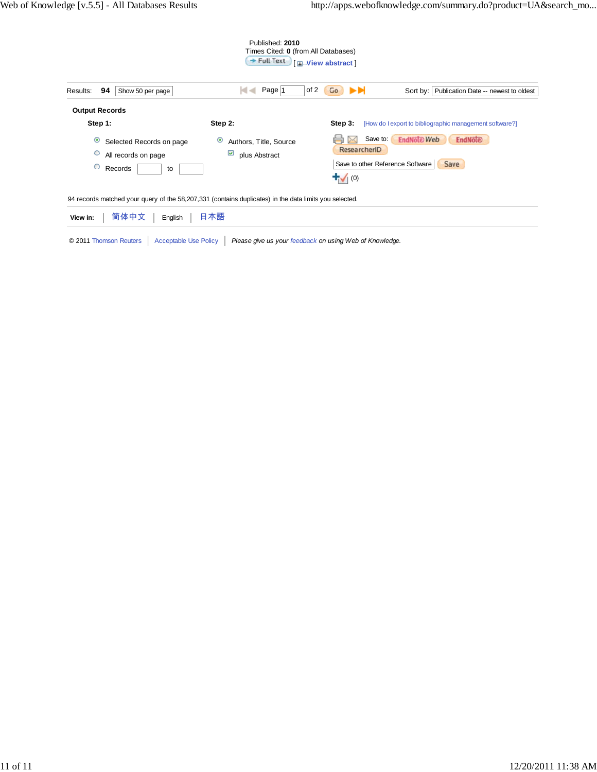| Published: 2010<br>Times Cited: 0 (from All Databases)<br>$+$ Full Text<br><b>E-View abstract</b> |                                                                                 |                                                                                                                           |  |  |  |  |  |  |
|---------------------------------------------------------------------------------------------------|---------------------------------------------------------------------------------|---------------------------------------------------------------------------------------------------------------------------|--|--|--|--|--|--|
| 94<br>Results:<br>Show 50 per page                                                                | Page $ 1$                                                                       | of 2<br>ÞЫ<br>Publication Date -- newest to oldest<br>Go<br>Sort by:                                                      |  |  |  |  |  |  |
| <b>Output Records</b><br>Step 1:                                                                  | Step 2:                                                                         | Step 3:<br>[How do I export to bibliographic management software?]                                                        |  |  |  |  |  |  |
| $\odot$<br>Selected Records on page<br>$\circ$<br>All records on page<br>$\circ$<br>Records<br>to | $\bullet$<br>Authors, Title, Source<br>$\overline{\mathsf{v}}$<br>plus Abstract | <b>EndNöte Web</b><br>Save to:<br>EndNote<br>ResearcherID<br>Save<br>Save to other Reference Software<br>$\mathbf{t}$ (0) |  |  |  |  |  |  |

94 records matched your query of the 58,207,331 (contains duplicates) in the data limits you selected.

| View in:   简体中文   English   日本語 |                                                                                                          |
|---------------------------------|----------------------------------------------------------------------------------------------------------|
|                                 | © 2011 Thomson Reuters   Acceptable Use Policy   Please give us your feedback on using Web of Knowledge. |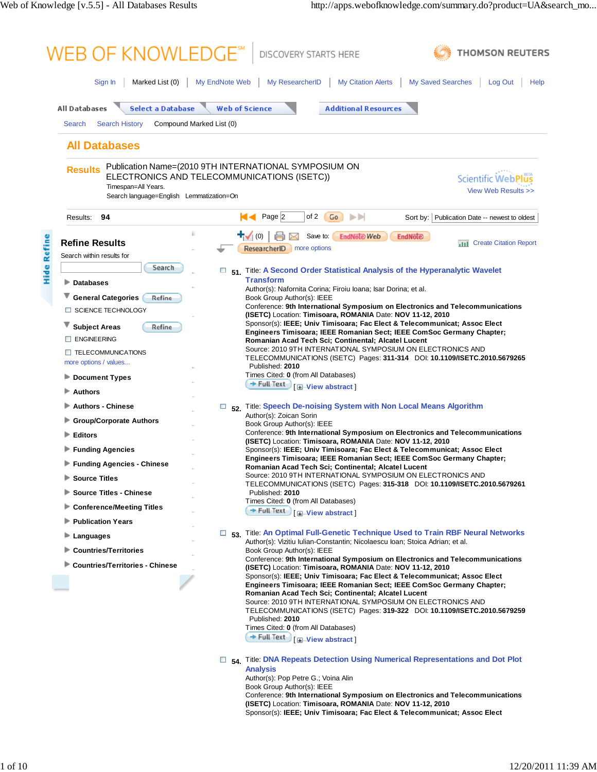| Marked List (0)<br>Sign In                                  | My EndNote Web<br>My ResearcherID<br><b>My Citation Alerts</b><br><b>My Saved Searches</b><br>Log Out<br>Help                                                              |
|-------------------------------------------------------------|----------------------------------------------------------------------------------------------------------------------------------------------------------------------------|
|                                                             |                                                                                                                                                                            |
| <b>All Databases</b><br><b>Select a Database</b>            | <b>Web of Science</b><br><b>Additional Resources</b>                                                                                                                       |
| Compound Marked List (0)<br>Search<br><b>Search History</b> |                                                                                                                                                                            |
| <b>All Databases</b>                                        |                                                                                                                                                                            |
|                                                             |                                                                                                                                                                            |
| <b>Results</b>                                              | Publication Name=(2010 9TH INTERNATIONAL SYMPOSIUM ON<br>ELECTRONICS AND TELECOMMUNICATIONS (ISETC))<br><b>Scientific WebPl</b>                                            |
| Timespan=All Years.                                         | View Web Results >>                                                                                                                                                        |
| Search language=English Lemmatization=On                    |                                                                                                                                                                            |
| 94<br>Results:                                              | К≺<br>Page 2<br>ÞЫ<br>of 2<br>Go<br>Sort by: Publication Date -- newest to oldest                                                                                          |
| <b>Refine Results</b>                                       | ₩<br>(0)<br>Save to:<br><b>EndNote Web</b><br><b>EndNote</b>                                                                                                               |
| Search within results for                                   | <b>Create Citation Report</b><br>ыш<br>ResearcherID<br>more options                                                                                                        |
| Search                                                      |                                                                                                                                                                            |
| ▶<br><b>Databases</b>                                       | 51. Title: A Second Order Statistical Analysis of the Hyperanalytic Wavelet<br><b>Transform</b>                                                                            |
| ▼                                                           | Author(s): Nafornita Corina; Firoiu Ioana; Isar Dorina; et al.                                                                                                             |
| <b>General Categories</b><br>Refine<br>SCIENCE TECHNOLOGY   | Book Group Author(s): IEEE<br>Conference: 9th International Symposium on Electronics and Telecommunications                                                                |
|                                                             | (ISETC) Location: Timisoara, ROMANIA Date: NOV 11-12, 2010<br>Sponsor(s): IEEE; Univ Timisoara; Fac Elect & Telecommunicat; Assoc Elect                                    |
| <b>Subject Areas</b><br>Refine                              | Engineers Timisoara; IEEE Romanian Sect; IEEE ComSoc Germany Chapter;                                                                                                      |
| <b>ENGINEERING</b>                                          | Romanian Acad Tech Sci; Continental; Alcatel Lucent<br>Source: 2010 9TH INTERNATIONAL SYMPOSIUM ON ELECTRONICS AND                                                         |
| $\Box$ TELECOMMUNICATIONS<br>more options / values          | TELECOMMUNICATIONS (ISETC) Pages: 311-314 DOI: 10.1109/ISETC.2010.5679265                                                                                                  |
| <b>Document Types</b>                                       | Published: 2010<br>Times Cited: 0 (from All Databases)                                                                                                                     |
| ⋗<br><b>Authors</b>                                         | → Full Text Full Text                                                                                                                                                      |
| <b>Authors - Chinese</b>                                    | 52. Title: Speech De-noising System with Non Local Means Algorithm                                                                                                         |
| <b>Group/Corporate Authors</b>                              | Author(s): Zoican Sorin                                                                                                                                                    |
|                                                             | Book Group Author(s): IEEE<br>Conference: 9th International Symposium on Electronics and Telecommunications                                                                |
| <b>Editors</b>                                              | (ISETC) Location: Timisoara, ROMANIA Date: NOV 11-12, 2010                                                                                                                 |
| <b>Funding Agencies</b><br>⋗                                | Sponsor(s): IEEE; Univ Timisoara; Fac Elect & Telecommunicat; Assoc Elect<br>Engineers Timisoara; IEEE Romanian Sect; IEEE ComSoc Germany Chapter;                         |
| ▶ Funding Agencies - Chinese                                | Romanian Acad Tech Sci; Continental; Alcatel Lucent<br>Source: 2010 9TH INTERNATIONAL SYMPOSIUM ON ELECTRONICS AND                                                         |
| <b>Source Titles</b>                                        | TELECOMMUNICATIONS (ISETC) Pages: 315-318 DOI: 10.1109/ISETC.2010.5679261                                                                                                  |
| <b>Source Titles - Chinese</b>                              | Published: 2010<br>Times Cited: 0 (from All Databases)                                                                                                                     |
| <b>Conference/Meeting Titles</b>                            | $+$ Full Text<br><b>I ⊞</b> <sup><i>I</i></sup> · <b>View abstract I</b>                                                                                                   |
| <b>Publication Years</b>                                    |                                                                                                                                                                            |
| ٠<br>Languages                                              | □ <sub>53</sub> Title: An Optimal Full-Genetic Technique Used to Train RBF Neural Networks<br>Author(s): Vizitiu Iulian-Constantin; Nicolaescu Ioan; Stoica Adrian; et al. |
| <b>Countries/Territories</b>                                | Book Group Author(s): IEEE<br>Conference: 9th International Symposium on Electronics and Telecommunications                                                                |
| <b>Countries/Territories - Chinese</b>                      | (ISETC) Location: Timisoara, ROMANIA Date: NOV 11-12, 2010                                                                                                                 |
|                                                             | Sponsor(s): IEEE; Univ Timisoara; Fac Elect & Telecommunicat; Assoc Elect<br>Engineers Timisoara; IEEE Romanian Sect; IEEE ComSoc Germany Chapter;                         |
|                                                             | Romanian Acad Tech Sci; Continental; Alcatel Lucent                                                                                                                        |
|                                                             | Source: 2010 9TH INTERNATIONAL SYMPOSIUM ON ELECTRONICS AND<br>TELECOMMUNICATIONS (ISETC) Pages: 319-322 DOI: 10.1109/ISETC.2010.5679259                                   |
|                                                             | Published: 2010<br>Times Cited: 0 (from All Databases)                                                                                                                     |
|                                                             | → Full Text   F View abstract ]                                                                                                                                            |
|                                                             |                                                                                                                                                                            |
|                                                             | 54. Title: DNA Repeats Detection Using Numerical Representations and Dot Plot<br><b>Analysis</b>                                                                           |
|                                                             | Author(s): Pop Petre G.; Voina Alin                                                                                                                                        |
|                                                             | Book Group Author(s): IEEE<br>Conference: 9th International Symposium on Electronics and Telecommunications                                                                |
|                                                             | (ISETC) Location: Timisoara, ROMANIA Date: NOV 11-12, 2010                                                                                                                 |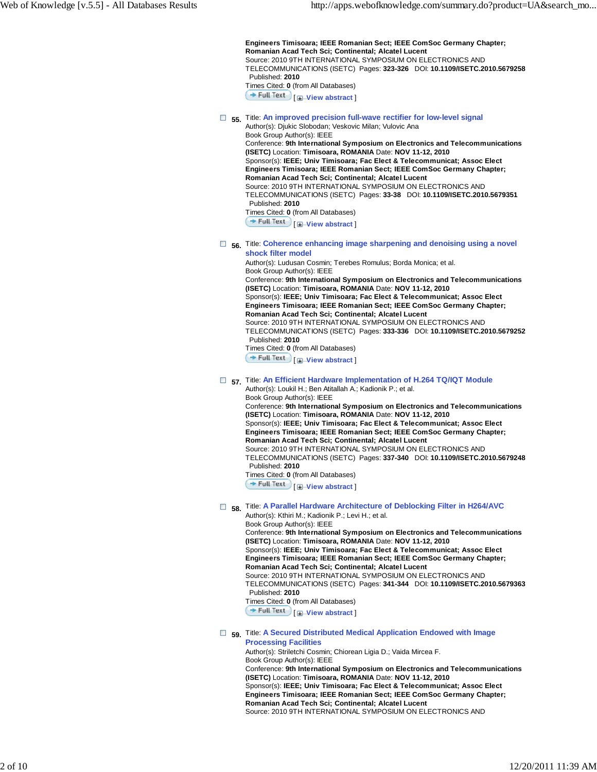**Engineers Timisoara; IEEE Romanian Sect; IEEE ComSoc Germany Chapter; Romanian Acad Tech Sci; Continental; Alcatel Lucent** Source: 2010 9TH INTERNATIONAL SYMPOSIUM ON ELECTRONICS AND TELECOMMUNICATIONS (ISETC) Pages: **323-326** DOI: **10.1109/ISETC.2010.5679258** Published: **2010** Times Cited: **0** (from All Databases) **Full Text**  $\mathbf{F}$  **View abstract 55.** Title: **An improved precision full-wave rectifier for low-level signal** Author(s): Djukic Slobodan; Veskovic Milan; Vulovic Ana Book Group Author(s): IEEE Conference: **9th International Symposium on Electronics and Telecommunications (ISETC)** Location: **Timisoara, ROMANIA** Date: **NOV 11-12, 2010**

Sponsor(s): **IEEE; Univ Timisoara; Fac Elect & Telecommunicat; Assoc Elect Engineers Timisoara; IEEE Romanian Sect; IEEE ComSoc Germany Chapter; Romanian Acad Tech Sci; Continental; Alcatel Lucent** Source: 2010 9TH INTERNATIONAL SYMPOSIUM ON ELECTRONICS AND TELECOMMUNICATIONS (ISETC) Pages: **33-38** DOI: **10.1109/ISETC.2010.5679351**

#### Published: **2010** Times Cited: **0** (from All Databases)

**Full Text**  $\Box$  **View abstract** 

#### **56.** Title: **Coherence enhancing image sharpening and denoising using a novel shock filter model**

Author(s): Ludusan Cosmin; Terebes Romulus; Borda Monica; et al. Book Group Author(s): IEEE Conference: **9th International Symposium on Electronics and Telecommunications (ISETC)** Location: **Timisoara, ROMANIA** Date: **NOV 11-12, 2010** Sponsor(s): **IEEE; Univ Timisoara; Fac Elect & Telecommunicat; Assoc Elect Engineers Timisoara; IEEE Romanian Sect; IEEE ComSoc Germany Chapter; Romanian Acad Tech Sci; Continental; Alcatel Lucent** Source: 2010 9TH INTERNATIONAL SYMPOSIUM ON ELECTRONICS AND TELECOMMUNICATIONS (ISETC) Pages: **333-336** DOI: **10.1109/ISETC.2010.5679252** Published: **2010**

Times Cited: **0** (from All Databases)

[ **View abstract** ]

### **57.** Title: **An Efficient Hardware Implementation of H.264 TQ/IQT Module**

Author(s): Loukil H.; Ben Atitallah A.; Kadionik P.; et al. Book Group Author(s): IEEE Conference: **9th International Symposium on Electronics and Telecommunications (ISETC)** Location: **Timisoara, ROMANIA** Date: **NOV 11-12, 2010** Sponsor(s): **IEEE; Univ Timisoara; Fac Elect & Telecommunicat; Assoc Elect Engineers Timisoara; IEEE Romanian Sect; IEEE ComSoc Germany Chapter; Romanian Acad Tech Sci; Continental; Alcatel Lucent** Source: 2010 9TH INTERNATIONAL SYMPOSIUM ON ELECTRONICS AND TELECOMMUNICATIONS (ISETC) Pages: **337-340** DOI: **10.1109/ISETC.2010.5679248** Published: **2010**

Times Cited: **0** (from All Databases)

**Full Text** [ $\Box$ **View abstract**]

 **58.** Title: **A Parallel Hardware Architecture of Deblocking Filter in H264/AVC**

Author(s): Kthiri M.; Kadionik P.; Levi H.; et al. Book Group Author(s): IEEE

Conference: **9th International Symposium on Electronics and Telecommunications (ISETC)** Location: **Timisoara, ROMANIA** Date: **NOV 11-12, 2010**

Sponsor(s): **IEEE; Univ Timisoara; Fac Elect & Telecommunicat; Assoc Elect Engineers Timisoara; IEEE Romanian Sect; IEEE ComSoc Germany Chapter; Romanian Acad Tech Sci; Continental; Alcatel Lucent**

Source: 2010 9TH INTERNATIONAL SYMPOSIUM ON ELECTRONICS AND

TELECOMMUNICATIONS (ISETC) Pages: **341-344** DOI: **10.1109/ISETC.2010.5679363** Published: **2010**

Times Cited: **0** (from All Databases)

**Full Text**  $\Box$  **View abstract** 

### **59.** Title: **A Secured Distributed Medical Application Endowed with Image Processing Facilities**

Author(s): Striletchi Cosmin; Chiorean Ligia D.; Vaida Mircea F. Book Group Author(s): IEEE Conference: **9th International Symposium on Electronics and Telecommunications (ISETC)** Location: **Timisoara, ROMANIA** Date: **NOV 11-12, 2010** Sponsor(s): **IEEE; Univ Timisoara; Fac Elect & Telecommunicat; Assoc Elect Engineers Timisoara; IEEE Romanian Sect; IEEE ComSoc Germany Chapter; Romanian Acad Tech Sci; Continental; Alcatel Lucent** Source: 2010 9TH INTERNATIONAL SYMPOSIUM ON ELECTRONICS AND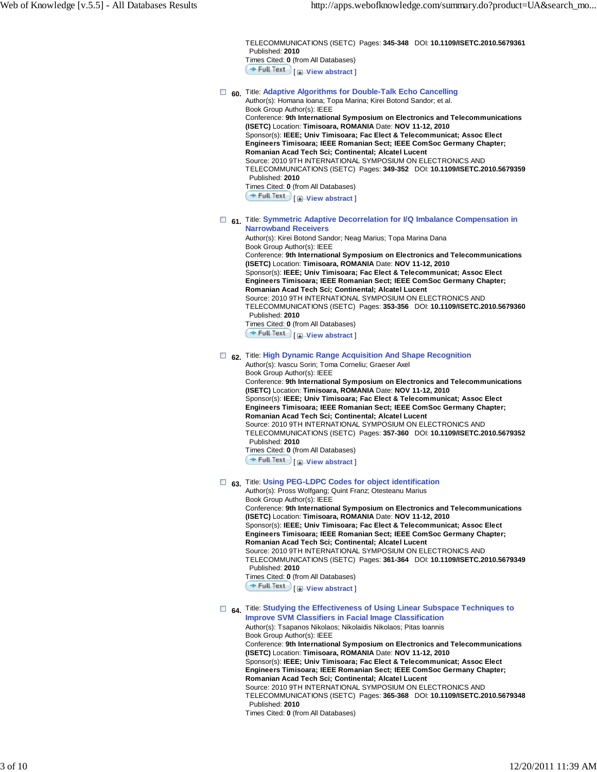TELECOMMUNICATIONS (ISETC) Pages: **345-348** DOI: **10.1109/ISETC.2010.5679361** Published: **2010** Times Cited: **0** (from All Databases) **Full Text** [*H*-View abstract]

- **60.** Title: **Adaptive Algorithms for Double-Talk Echo Cancelling** Author(s): Homana Ioana; Topa Marina; Kirei Botond Sandor; et al.
	- Book Group Author(s): IEEE Conference: **9th International Symposium on Electronics and Telecommunications (ISETC)** Location: **Timisoara, ROMANIA** Date: **NOV 11-12, 2010** Sponsor(s): **IEEE; Univ Timisoara; Fac Elect & Telecommunicat; Assoc Elect Engineers Timisoara; IEEE Romanian Sect; IEEE ComSoc Germany Chapter; Romanian Acad Tech Sci; Continental; Alcatel Lucent** Source: 2010 9TH INTERNATIONAL SYMPOSIUM ON ELECTRONICS AND TELECOMMUNICATIONS (ISETC) Pages: **349-352** DOI: **10.1109/ISETC.2010.5679359** Published: **2010** Times Cited: **0** (from All Databases) **Full Text** [ *H*-View abstract ]
- **61.** Title: Symmetric Adaptive Decorrelation for I/Q Imbalance Compensation in **Narrowband Receivers**

Author(s): Kirei Botond Sandor; Neag Marius; Topa Marina Dana Book Group Author(s): IEEE Conference: **9th International Symposium on Electronics and Telecommunications (ISETC)** Location: **Timisoara, ROMANIA** Date: **NOV 11-12, 2010** Sponsor(s): **IEEE; Univ Timisoara; Fac Elect & Telecommunicat; Assoc Elect Engineers Timisoara; IEEE Romanian Sect; IEEE ComSoc Germany Chapter; Romanian Acad Tech Sci; Continental; Alcatel Lucent** Source: 2010 9TH INTERNATIONAL SYMPOSIUM ON ELECTRONICS AND TELECOMMUNICATIONS (ISETC) Pages: **353-356** DOI: **10.1109/ISETC.2010.5679360** Published: **2010** Times Cited: **0** (from All Databases) [ **View abstract** ]

# **62.** Title: **High Dynamic Range Acquisition And Shape Recognition**

Author(s): Ivascu Sorin; Toma Corneliu; Graeser Axel Book Group Author(s): IEEE Conference: **9th International Symposium on Electronics and Telecommunications (ISETC)** Location: **Timisoara, ROMANIA** Date: **NOV 11-12, 2010** Sponsor(s): **IEEE; Univ Timisoara; Fac Elect & Telecommunicat; Assoc Elect Engineers Timisoara; IEEE Romanian Sect; IEEE ComSoc Germany Chapter; Romanian Acad Tech Sci; Continental; Alcatel Lucent** Source: 2010 9TH INTERNATIONAL SYMPOSIUM ON ELECTRONICS AND TELECOMMUNICATIONS (ISETC) Pages: **357-360** DOI: **10.1109/ISETC.2010.5679352** Published: **2010** Times Cited: **0** (from All Databases) **Full Text I H**-View abstract

# **63.** Title: **Using PEG-LDPC Codes for object identification**

Author(s): Pross Wolfgang; Quint Franz; Otesteanu Marius Book Group Author(s): IEEE Conference: **9th International Symposium on Electronics and Telecommunications (ISETC)** Location: **Timisoara, ROMANIA** Date: **NOV 11-12, 2010** Sponsor(s): **IEEE; Univ Timisoara; Fac Elect & Telecommunicat; Assoc Elect Engineers Timisoara; IEEE Romanian Sect; IEEE ComSoc Germany Chapter; Romanian Acad Tech Sci; Continental; Alcatel Lucent** Source: 2010 9TH INTERNATIONAL SYMPOSIUM ON ELECTRONICS AND TELECOMMUNICATIONS (ISETC) Pages: **361-364** DOI: **10.1109/ISETC.2010.5679349** Published: **2010** Times Cited: **0** (from All Databases) [ **View abstract** ]

#### **64.** Title: **Studying the Effectiveness of Using Linear Subspace Techniques to Improve SVM Classifiers in Facial Image Classification**

Author(s): Tsapanos Nikolaos; Nikolaidis Nikolaos; Pitas Ioannis Book Group Author(s): IEEE Conference: **9th International Symposium on Electronics and Telecommunications (ISETC)** Location: **Timisoara, ROMANIA** Date: **NOV 11-12, 2010** Sponsor(s): **IEEE; Univ Timisoara; Fac Elect & Telecommunicat; Assoc Elect Engineers Timisoara; IEEE Romanian Sect; IEEE ComSoc Germany Chapter; Romanian Acad Tech Sci; Continental; Alcatel Lucent** Source: 2010 9TH INTERNATIONAL SYMPOSIUM ON ELECTRONICS AND TELECOMMUNICATIONS (ISETC) Pages: **365-368** DOI: **10.1109/ISETC.2010.5679348** Published: **2010**

Times Cited: **0** (from All Databases)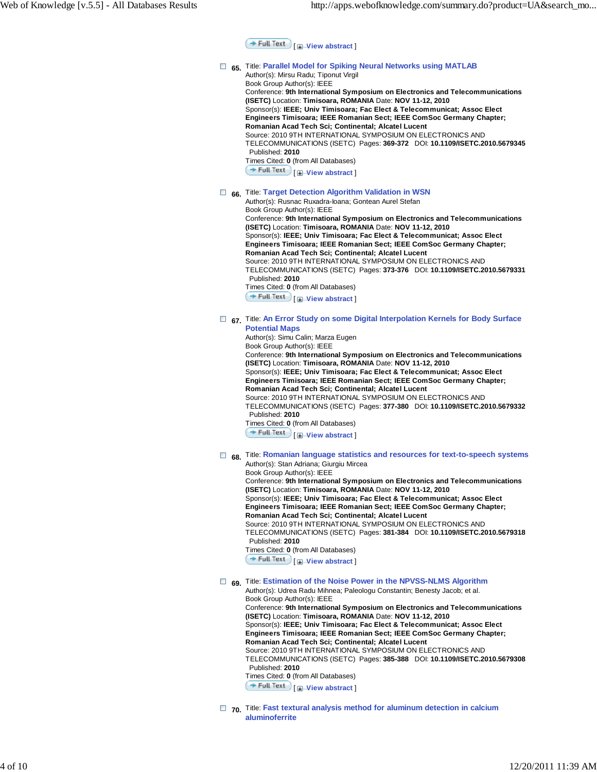**Full Text** | **H**-View abstract

### **65.** Title: **Parallel Model for Spiking Neural Networks using MATLAB** Author(s): Mirsu Radu; Tiponut Virgil Book Group Author(s): IEEE Conference: **9th International Symposium on Electronics and Telecommunications (ISETC)** Location: **Timisoara, ROMANIA** Date: **NOV 11-12, 2010** Sponsor(s): **IEEE; Univ Timisoara; Fac Elect & Telecommunicat; Assoc Elect Engineers Timisoara; IEEE Romanian Sect; IEEE ComSoc Germany Chapter; Romanian Acad Tech Sci; Continental; Alcatel Lucent** Source: 2010 9TH INTERNATIONAL SYMPOSIUM ON ELECTRONICS AND TELECOMMUNICATIONS (ISETC) Pages: **369-372** DOI: **10.1109/ISETC.2010.5679345** Published: **2010** Times Cited: **0** (from All Databases) [ **View abstract** ]  **66.** Title: **Target Detection Algorithm Validation in WSN** Author(s): Rusnac Ruxadra-Ioana; Gontean Aurel Stefan Book Group Author(s): IEEE Conference: **9th International Symposium on Electronics and Telecommunications (ISETC)** Location: **Timisoara, ROMANIA** Date: **NOV 11-12, 2010** Sponsor(s): **IEEE; Univ Timisoara; Fac Elect & Telecommunicat; Assoc Elect Engineers Timisoara; IEEE Romanian Sect; IEEE ComSoc Germany Chapter; Romanian Acad Tech Sci; Continental; Alcatel Lucent** Source: 2010 9TH INTERNATIONAL SYMPOSIUM ON ELECTRONICS AND TELECOMMUNICATIONS (ISETC) Pages: **373-376** DOI: **10.1109/ISETC.2010.5679331** Published: **2010** Times Cited: **0** (from All Databases) [ **View abstract** ]  **67.** Title: **An Error Study on some Digital Interpolation Kernels for Body Surface Potential Maps** Author(s): Simu Calin; Marza Eugen Book Group Author(s): IEEE Conference: **9th International Symposium on Electronics and Telecommunications (ISETC)** Location: **Timisoara, ROMANIA** Date: **NOV 11-12, 2010** Sponsor(s): **IEEE; Univ Timisoara; Fac Elect & Telecommunicat; Assoc Elect Engineers Timisoara; IEEE Romanian Sect; IEEE ComSoc Germany Chapter; Romanian Acad Tech Sci; Continental; Alcatel Lucent** Source: 2010 9TH INTERNATIONAL SYMPOSIUM ON ELECTRONICS AND TELECOMMUNICATIONS (ISETC) Pages: **377-380** DOI: **10.1109/ISETC.2010.5679332** Published: **2010** Times Cited: **0** (from All Databases) [ **View abstract** ]  **68.** Title: **Romanian language statistics and resources for text-to-speech systems** Author(s): Stan Adriana; Giurgiu Mircea Book Group Author(s): IEEE Conference: **9th International Symposium on Electronics and Telecommunications (ISETC)** Location: **Timisoara, ROMANIA** Date: **NOV 11-12, 2010** Sponsor(s): **IEEE; Univ Timisoara; Fac Elect & Telecommunicat; Assoc Elect Engineers Timisoara; IEEE Romanian Sect; IEEE ComSoc Germany Chapter; Romanian Acad Tech Sci; Continental; Alcatel Lucent** Source: 2010 9TH INTERNATIONAL SYMPOSIUM ON ELECTRONICS AND TELECOMMUNICATIONS (ISETC) Pages: **381-384** DOI: **10.1109/ISETC.2010.5679318** Published: **2010** Times Cited: **0** (from All Databases) [ **View abstract** ]  **69.** Title: **Estimation of the Noise Power in the NPVSS-NLMS Algorithm** Author(s): Udrea Radu Mihnea; Paleologu Constantin; Benesty Jacob; et al. Book Group Author(s): IEEE Conference: **9th International Symposium on Electronics and Telecommunications (ISETC)** Location: **Timisoara, ROMANIA** Date: **NOV 11-12, 2010** Sponsor(s): **IEEE; Univ Timisoara; Fac Elect & Telecommunicat; Assoc Elect Engineers Timisoara; IEEE Romanian Sect; IEEE ComSoc Germany Chapter; Romanian Acad Tech Sci; Continental; Alcatel Lucent** Source: 2010 9TH INTERNATIONAL SYMPOSIUM ON ELECTRONICS AND TELECOMMUNICATIONS (ISETC) Pages: **385-388** DOI: **10.1109/ISETC.2010.5679308** Published: **2010** Times Cited: **0** (from All Databases) [ **View abstract** ]

 **70.** Title: **Fast textural analysis method for aluminum detection in calcium aluminoferrite**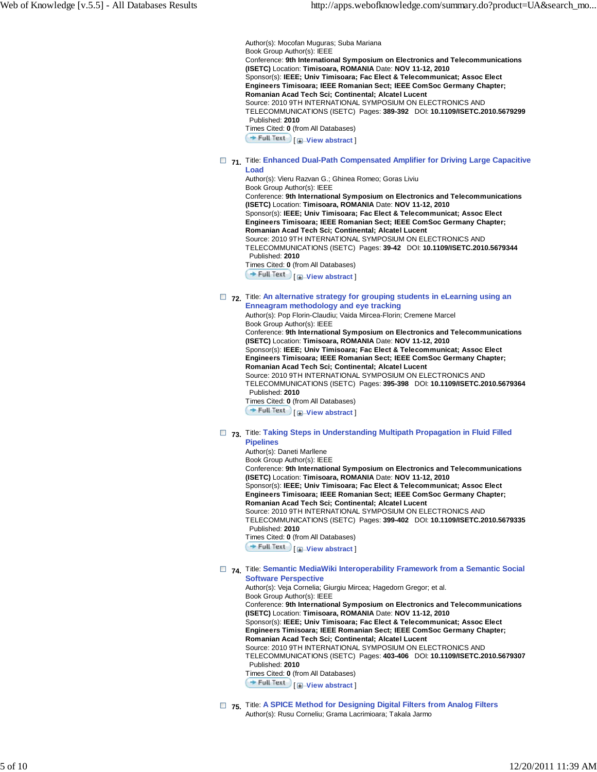Author(s): Mocofan Muguras; Suba Mariana Book Group Author(s): IEEE Conference: **9th International Symposium on Electronics and Telecommunications (ISETC)** Location: **Timisoara, ROMANIA** Date: **NOV 11-12, 2010** Sponsor(s): **IEEE; Univ Timisoara; Fac Elect & Telecommunicat; Assoc Elect Engineers Timisoara; IEEE Romanian Sect; IEEE ComSoc Germany Chapter; Romanian Acad Tech Sci; Continental; Alcatel Lucent** Source: 2010 9TH INTERNATIONAL SYMPOSIUM ON ELECTRONICS AND TELECOMMUNICATIONS (ISETC) Pages: **389-392** DOI: **10.1109/ISETC.2010.5679299** Published: **2010** Times Cited: **0** (from All Databases) **Full Text** [**H**-View abstract ]

#### **71.** Title: **Enhanced Dual-Path Compensated Amplifier for Driving Large Capacitive Load**

Author(s): Vieru Razvan G.; Ghinea Romeo; Goras Liviu Book Group Author(s): IEEE Conference: **9th International Symposium on Electronics and Telecommunications (ISETC)** Location: **Timisoara, ROMANIA** Date: **NOV 11-12, 2010** Sponsor(s): **IEEE; Univ Timisoara; Fac Elect & Telecommunicat; Assoc Elect Engineers Timisoara; IEEE Romanian Sect; IEEE ComSoc Germany Chapter; Romanian Acad Tech Sci; Continental; Alcatel Lucent** Source: 2010 9TH INTERNATIONAL SYMPOSIUM ON ELECTRONICS AND TELECOMMUNICATIONS (ISETC) Pages: **39-42** DOI: **10.1109/ISETC.2010.5679344** Published: **2010** Times Cited: **0** (from All Databases) **Full Text**  $\Box$  **View abstract** 

### **72.** Title: **An alternative strategy for grouping students in eLearning using an Enneagram methodology and eye tracking**

Author(s): Pop Florin-Claudiu; Vaida Mircea-Florin; Cremene Marcel Book Group Author(s): IEEE Conference: **9th International Symposium on Electronics and Telecommunications (ISETC)** Location: **Timisoara, ROMANIA** Date: **NOV 11-12, 2010** Sponsor(s): **IEEE; Univ Timisoara; Fac Elect & Telecommunicat; Assoc Elect Engineers Timisoara; IEEE Romanian Sect; IEEE ComSoc Germany Chapter; Romanian Acad Tech Sci; Continental; Alcatel Lucent** Source: 2010 9TH INTERNATIONAL SYMPOSIUM ON ELECTRONICS AND TELECOMMUNICATIONS (ISETC) Pages: **395-398** DOI: **10.1109/ISETC.2010.5679364** Published: **2010** Times Cited: **0** (from All Databases) [ **View abstract** ]

# **73.** Title: **Taking Steps in Understanding Multipath Propagation in Fluid Filled**

**Pipelines**

Author(s): Daneti Marllene Book Group Author(s): IEEE Conference: **9th International Symposium on Electronics and Telecommunications (ISETC)** Location: **Timisoara, ROMANIA** Date: **NOV 11-12, 2010** Sponsor(s): **IEEE; Univ Timisoara; Fac Elect & Telecommunicat; Assoc Elect Engineers Timisoara; IEEE Romanian Sect; IEEE ComSoc Germany Chapter; Romanian Acad Tech Sci; Continental; Alcatel Lucent** Source: 2010 9TH INTERNATIONAL SYMPOSIUM ON ELECTRONICS AND TELECOMMUNICATIONS (ISETC) Pages: **399-402** DOI: **10.1109/ISETC.2010.5679335** Published: **2010** Times Cited: **0** (from All Databases) [ **View abstract** ]

### □ 74. Title: Semantic MediaWiki Interoperability Framework from a Semantic Social **Software Perspective**

Author(s): Veja Cornelia; Giurgiu Mircea; Hagedorn Gregor; et al. Book Group Author(s): IEEE Conference: **9th International Symposium on Electronics and Telecommunications (ISETC)** Location: **Timisoara, ROMANIA** Date: **NOV 11-12, 2010** Sponsor(s): **IEEE; Univ Timisoara; Fac Elect & Telecommunicat; Assoc Elect Engineers Timisoara; IEEE Romanian Sect; IEEE ComSoc Germany Chapter; Romanian Acad Tech Sci; Continental; Alcatel Lucent** Source: 2010 9TH INTERNATIONAL SYMPOSIUM ON ELECTRONICS AND TELECOMMUNICATIONS (ISETC) Pages: **403-406** DOI: **10.1109/ISETC.2010.5679307** Published: **2010** Times Cited: **0** (from All Databases) **Full Text**  $\Box$  **View abstract** 

 **75.** Title: **A SPICE Method for Designing Digital Filters from Analog Filters** Author(s): Rusu Corneliu; Grama Lacrimioara; Takala Jarmo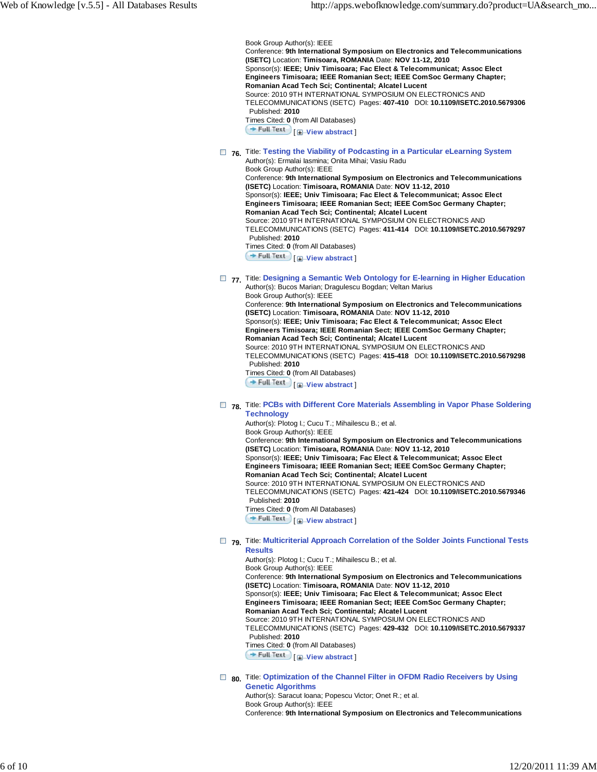Book Group Author(s): IEEE Conference: **9th International Symposium on Electronics and Telecommunications (ISETC)** Location: **Timisoara, ROMANIA** Date: **NOV 11-12, 2010** Sponsor(s): **IEEE; Univ Timisoara; Fac Elect & Telecommunicat; Assoc Elect Engineers Timisoara; IEEE Romanian Sect; IEEE ComSoc Germany Chapter; Romanian Acad Tech Sci; Continental; Alcatel Lucent** Source: 2010 9TH INTERNATIONAL SYMPOSIUM ON ELECTRONICS AND TELECOMMUNICATIONS (ISETC) Pages: **407-410** DOI: **10.1109/ISETC.2010.5679306** Published: **2010** Times Cited: **0** (from All Databases) **Full Text H** View abstract

 **76.** Title: **Testing the Viability of Podcasting in a Particular eLearning System**

Author(s): Ermalai Iasmina; Onita Mihai; Vasiu Radu Book Group Author(s): IEEE Conference: **9th International Symposium on Electronics and Telecommunications (ISETC)** Location: **Timisoara, ROMANIA** Date: **NOV 11-12, 2010** Sponsor(s): **IEEE; Univ Timisoara; Fac Elect & Telecommunicat; Assoc Elect Engineers Timisoara; IEEE Romanian Sect; IEEE ComSoc Germany Chapter; Romanian Acad Tech Sci; Continental; Alcatel Lucent** Source: 2010 9TH INTERNATIONAL SYMPOSIUM ON ELECTRONICS AND TELECOMMUNICATIONS (ISETC) Pages: **411-414** DOI: **10.1109/ISETC.2010.5679297** Published: **2010** Times Cited: **0** (from All Databases) [ **View abstract** ]

 **77.** Title: **Designing a Semantic Web Ontology for E-learning in Higher Education** Author(s): Bucos Marian; Dragulescu Bogdan; Veltan Marius

Book Group Author(s): IEEE Conference: **9th International Symposium on Electronics and Telecommunications (ISETC)** Location: **Timisoara, ROMANIA** Date: **NOV 11-12, 2010** Sponsor(s): **IEEE; Univ Timisoara; Fac Elect & Telecommunicat; Assoc Elect Engineers Timisoara; IEEE Romanian Sect; IEEE ComSoc Germany Chapter; Romanian Acad Tech Sci; Continental; Alcatel Lucent** Source: 2010 9TH INTERNATIONAL SYMPOSIUM ON ELECTRONICS AND TELECOMMUNICATIONS (ISETC) Pages: **415-418** DOI: **10.1109/ISETC.2010.5679298** Published: **2010** Times Cited: **0** (from All Databases) **Full Text H** View abstract

□ 78. Title: PCBs with Different Core Materials Assembling in Vapor Phase Soldering **Technology**

Author(s): Plotog I.; Cucu T.; Mihailescu B.; et al. Book Group Author(s): IEEE Conference: **9th International Symposium on Electronics and Telecommunications (ISETC)** Location: **Timisoara, ROMANIA** Date: **NOV 11-12, 2010** Sponsor(s): **IEEE; Univ Timisoara; Fac Elect & Telecommunicat; Assoc Elect Engineers Timisoara; IEEE Romanian Sect; IEEE ComSoc Germany Chapter; Romanian Acad Tech Sci; Continental; Alcatel Lucent** Source: 2010 9TH INTERNATIONAL SYMPOSIUM ON ELECTRONICS AND TELECOMMUNICATIONS (ISETC) Pages: **421-424** DOI: **10.1109/ISETC.2010.5679346** Published: **2010** Times Cited: **0** (from All Databases) [ **View abstract** ]

 **79.** Title: **Multicriterial Approach Correlation of the Solder Joints Functional Tests Results**

Author(s): Plotog I.; Cucu T.; Mihailescu B.; et al. Book Group Author(s): IEEE Conference: **9th International Symposium on Electronics and Telecommunications (ISETC)** Location: **Timisoara, ROMANIA** Date: **NOV 11-12, 2010** Sponsor(s): **IEEE; Univ Timisoara; Fac Elect & Telecommunicat; Assoc Elect Engineers Timisoara; IEEE Romanian Sect; IEEE ComSoc Germany Chapter; Romanian Acad Tech Sci; Continental; Alcatel Lucent** Source: 2010 9TH INTERNATIONAL SYMPOSIUM ON ELECTRONICS AND TELECOMMUNICATIONS (ISETC) Pages: **429-432** DOI: **10.1109/ISETC.2010.5679337** Published: **2010** Times Cited: **0** (from All Databases) [ **View abstract** ]

 **80.** Title: **Optimization of the Channel Filter in OFDM Radio Receivers by Using Genetic Algorithms** Author(s): Saracut Ioana; Popescu Victor; Onet R.; et al.

Book Group Author(s): IEEE Conference: **9th International Symposium on Electronics and Telecommunications**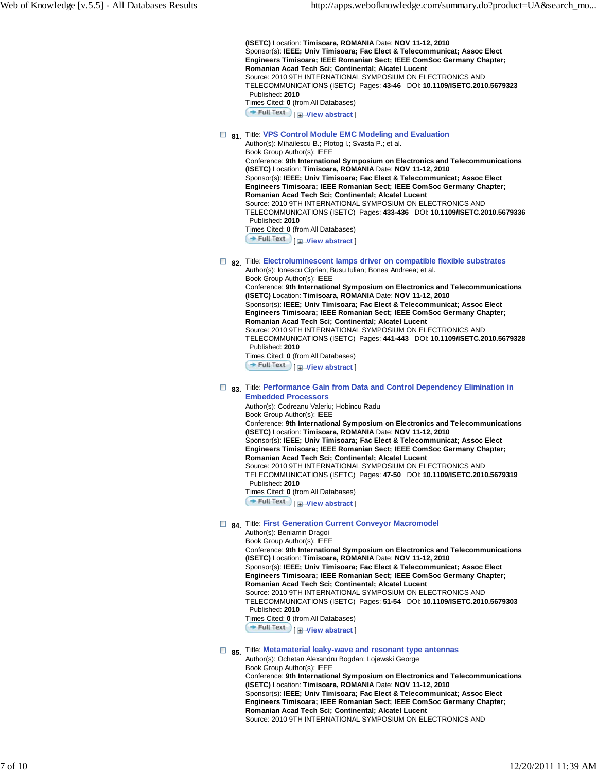**(ISETC)** Location: **Timisoara, ROMANIA** Date: **NOV 11-12, 2010** Sponsor(s): **IEEE; Univ Timisoara; Fac Elect & Telecommunicat; Assoc Elect Engineers Timisoara; IEEE Romanian Sect; IEEE ComSoc Germany Chapter; Romanian Acad Tech Sci; Continental; Alcatel Lucent** Source: 2010 9TH INTERNATIONAL SYMPOSIUM ON ELECTRONICS AND TELECOMMUNICATIONS (ISETC) Pages: **43-46** DOI: **10.1109/ISETC.2010.5679323** Published: **2010** Times Cited: **0** (from All Databases) **Full Text** | **I**-View abstract

# $\Box$  81. Title: VPS Control Module EMC Modeling and Evaluation

Author(s): Mihailescu B.; Plotog I.; Svasta P.; et al. Book Group Author(s): IEEE Conference: **9th International Symposium on Electronics and Telecommunications (ISETC)** Location: **Timisoara, ROMANIA** Date: **NOV 11-12, 2010** Sponsor(s): **IEEE; Univ Timisoara; Fac Elect & Telecommunicat; Assoc Elect Engineers Timisoara; IEEE Romanian Sect; IEEE ComSoc Germany Chapter; Romanian Acad Tech Sci; Continental; Alcatel Lucent** Source: 2010 9TH INTERNATIONAL SYMPOSIUM ON ELECTRONICS AND TELECOMMUNICATIONS (ISETC) Pages: **433-436** DOI: **10.1109/ISETC.2010.5679336** Published: **2010** Times Cited: **0** (from All Databases)

**Full Text I H** View abstract

# **82.** Title: **Electroluminescent lamps driver on compatible flexible substrates**

Author(s): Ionescu Ciprian; Busu Iulian; Bonea Andreea; et al. Book Group Author(s): IEEE Conference: **9th International Symposium on Electronics and Telecommunications (ISETC)** Location: **Timisoara, ROMANIA** Date: **NOV 11-12, 2010** Sponsor(s): **IEEE; Univ Timisoara; Fac Elect & Telecommunicat; Assoc Elect Engineers Timisoara; IEEE Romanian Sect; IEEE ComSoc Germany Chapter; Romanian Acad Tech Sci; Continental; Alcatel Lucent** Source: 2010 9TH INTERNATIONAL SYMPOSIUM ON ELECTRONICS AND TELECOMMUNICATIONS (ISETC) Pages: **441-443** DOI: **10.1109/ISETC.2010.5679328** Published: **2010** Times Cited: **0** (from All Databases) **Full Text**  $\left[\frac{1}{2}\right]$  View abstract

## **83.** Title: **Performance Gain from Data and Control Dependency Elimination in Embedded Processors**

Author(s): Codreanu Valeriu; Hobincu Radu Book Group Author(s): IEEE Conference: **9th International Symposium on Electronics and Telecommunications (ISETC)** Location: **Timisoara, ROMANIA** Date: **NOV 11-12, 2010** Sponsor(s): **IEEE; Univ Timisoara; Fac Elect & Telecommunicat; Assoc Elect Engineers Timisoara; IEEE Romanian Sect; IEEE ComSoc Germany Chapter; Romanian Acad Tech Sci; Continental; Alcatel Lucent** Source: 2010 9TH INTERNATIONAL SYMPOSIUM ON ELECTRONICS AND TELECOMMUNICATIONS (ISETC) Pages: **47-50** DOI: **10.1109/ISETC.2010.5679319** Published: **2010** Times Cited: **0** (from All Databases) **Full Text I H**-View abstract

### **84.** Title: **First Generation Current Conveyor Macromodel**

Author(s): Beniamin Dragoi Book Group Author(s): IEEE Conference: **9th International Symposium on Electronics and Telecommunications (ISETC)** Location: **Timisoara, ROMANIA** Date: **NOV 11-12, 2010** Sponsor(s): **IEEE; Univ Timisoara; Fac Elect & Telecommunicat; Assoc Elect Engineers Timisoara; IEEE Romanian Sect; IEEE ComSoc Germany Chapter; Romanian Acad Tech Sci; Continental; Alcatel Lucent** Source: 2010 9TH INTERNATIONAL SYMPOSIUM ON ELECTRONICS AND TELECOMMUNICATIONS (ISETC) Pages: **51-54** DOI: **10.1109/ISETC.2010.5679303** Published: **2010** Times Cited: **0** (from All Databases) **Full Text** | **I**-View abstract

### **85.** Title: **Metamaterial leaky-wave and resonant type antennas**

Author(s): Ochetan Alexandru Bogdan; Lojewski George Book Group Author(s): IEEE Conference: **9th International Symposium on Electronics and Telecommunications (ISETC)** Location: **Timisoara, ROMANIA** Date: **NOV 11-12, 2010** Sponsor(s): **IEEE; Univ Timisoara; Fac Elect & Telecommunicat; Assoc Elect Engineers Timisoara; IEEE Romanian Sect; IEEE ComSoc Germany Chapter; Romanian Acad Tech Sci; Continental; Alcatel Lucent** Source: 2010 9TH INTERNATIONAL SYMPOSIUM ON ELECTRONICS AND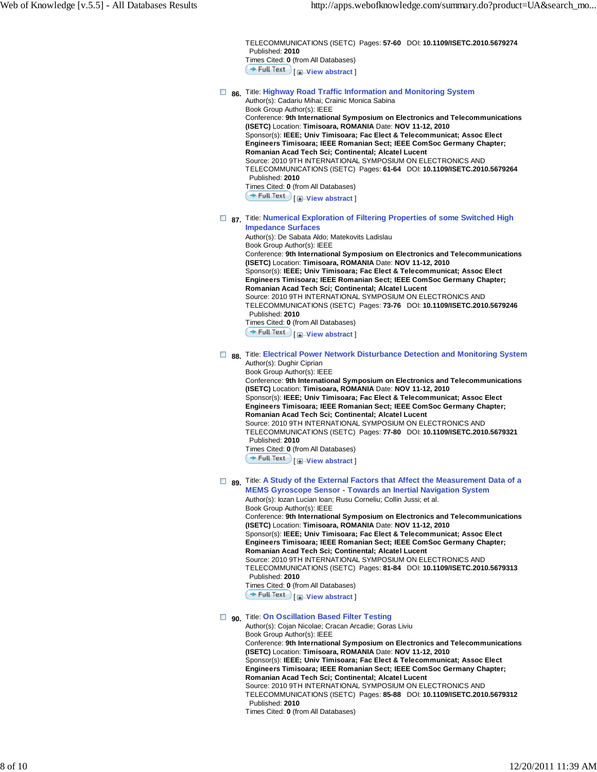TELECOMMUNICATIONS (ISETC) Pages: **57-60** DOI: **10.1109/ISETC.2010.5679274** Published: **2010** Times Cited: **0** (from All Databases) **Full Text** [*H*-View abstract]

# **86.** Title: **Highway Road Traffic Information and Monitoring System**

Author(s): Cadariu Mihai; Crainic Monica Sabina Book Group Author(s): IEEE Conference: **9th International Symposium on Electronics and Telecommunications (ISETC)** Location: **Timisoara, ROMANIA** Date: **NOV 11-12, 2010** Sponsor(s): **IEEE; Univ Timisoara; Fac Elect & Telecommunicat; Assoc Elect Engineers Timisoara; IEEE Romanian Sect; IEEE ComSoc Germany Chapter; Romanian Acad Tech Sci; Continental; Alcatel Lucent** Source: 2010 9TH INTERNATIONAL SYMPOSIUM ON ELECTRONICS AND TELECOMMUNICATIONS (ISETC) Pages: **61-64** DOI: **10.1109/ISETC.2010.5679264** Published: **2010** Times Cited: **0** (from All Databases) **Full Text** [ *H*-View abstract ]

**■ 87.** Title: Numerical Exploration of Filtering Properties of some Switched High **Impedance Surfaces**

Author(s): De Sabata Aldo; Matekovits Ladislau Book Group Author(s): IEEE Conference: **9th International Symposium on Electronics and Telecommunications (ISETC)** Location: **Timisoara, ROMANIA** Date: **NOV 11-12, 2010** Sponsor(s): **IEEE; Univ Timisoara; Fac Elect & Telecommunicat; Assoc Elect Engineers Timisoara; IEEE Romanian Sect; IEEE ComSoc Germany Chapter; Romanian Acad Tech Sci; Continental; Alcatel Lucent** Source: 2010 9TH INTERNATIONAL SYMPOSIUM ON ELECTRONICS AND TELECOMMUNICATIONS (ISETC) Pages: **73-76** DOI: **10.1109/ISETC.2010.5679246** Published: **2010** Times Cited: **0** (from All Databases)

**Full Text**  $\Box$  **View abstract** 

#### **■ 88.** Title: Electrical Power Network Disturbance Detection and Monitoring System Author(s): Dughir Ciprian

Book Group Author(s): IEEE Conference: **9th International Symposium on Electronics and Telecommunications (ISETC)** Location: **Timisoara, ROMANIA** Date: **NOV 11-12, 2010** Sponsor(s): **IEEE; Univ Timisoara; Fac Elect & Telecommunicat; Assoc Elect Engineers Timisoara; IEEE Romanian Sect; IEEE ComSoc Germany Chapter; Romanian Acad Tech Sci; Continental; Alcatel Lucent** Source: 2010 9TH INTERNATIONAL SYMPOSIUM ON ELECTRONICS AND TELECOMMUNICATIONS (ISETC) Pages: **77-80** DOI: **10.1109/ISETC.2010.5679321** Published: **2010** Times Cited: **0** (from All Databases) **Full Text**  $\Box$  **View abstract** 

## **■ 89.** Title: A Study of the External Factors that Affect the Measurement Data of a **MEMS Gyroscope Sensor - Towards an Inertial Navigation System**

Author(s): Iozan Lucian Ioan; Rusu Corneliu; Collin Jussi; et al. Book Group Author(s): IEEE Conference: **9th International Symposium on Electronics and Telecommunications (ISETC)** Location: **Timisoara, ROMANIA** Date: **NOV 11-12, 2010** Sponsor(s): **IEEE; Univ Timisoara; Fac Elect & Telecommunicat; Assoc Elect Engineers Timisoara; IEEE Romanian Sect; IEEE ComSoc Germany Chapter; Romanian Acad Tech Sci; Continental; Alcatel Lucent** Source: 2010 9TH INTERNATIONAL SYMPOSIUM ON ELECTRONICS AND TELECOMMUNICATIONS (ISETC) Pages: **81-84** DOI: **10.1109/ISETC.2010.5679313** Published: **2010** Times Cited: **0** (from All Databases)

[ **View abstract** ]

# **90.** Title: **On Oscillation Based Filter Testing**

Author(s): Cojan Nicolae; Cracan Arcadie; Goras Liviu Book Group Author(s): IEEE Conference: **9th International Symposium on Electronics and Telecommunications (ISETC)** Location: **Timisoara, ROMANIA** Date: **NOV 11-12, 2010** Sponsor(s): **IEEE; Univ Timisoara; Fac Elect & Telecommunicat; Assoc Elect Engineers Timisoara; IEEE Romanian Sect; IEEE ComSoc Germany Chapter; Romanian Acad Tech Sci; Continental; Alcatel Lucent** Source: 2010 9TH INTERNATIONAL SYMPOSIUM ON ELECTRONICS AND TELECOMMUNICATIONS (ISETC) Pages: **85-88** DOI: **10.1109/ISETC.2010.5679312** Published: **2010**

Times Cited: **0** (from All Databases)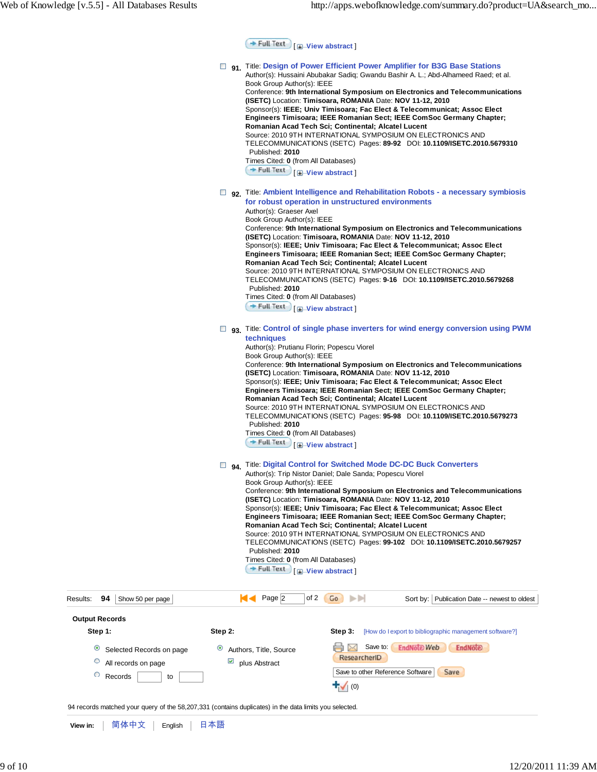**Full Text** [ **H**-View abstract ]

| O<br>О                | All records on page<br>Records<br>to<br>94 records matched your query of the 58,207,331 (contains duplicates) in the data limits you selected. | ⊻                  | plus Abstract                                                                                                                                                                                                                                                           | ResearcherID<br>Save to other Reference Software<br>(0)                                                                                                                                                                                                                                                                                                                                                                                                                                                                                                                                                                   | Save                                                                                                                                                                                                                                                                                                                                                                                                                                                                                                                                                                                                                                                                                                                     |  |
|-----------------------|------------------------------------------------------------------------------------------------------------------------------------------------|--------------------|-------------------------------------------------------------------------------------------------------------------------------------------------------------------------------------------------------------------------------------------------------------------------|---------------------------------------------------------------------------------------------------------------------------------------------------------------------------------------------------------------------------------------------------------------------------------------------------------------------------------------------------------------------------------------------------------------------------------------------------------------------------------------------------------------------------------------------------------------------------------------------------------------------------|--------------------------------------------------------------------------------------------------------------------------------------------------------------------------------------------------------------------------------------------------------------------------------------------------------------------------------------------------------------------------------------------------------------------------------------------------------------------------------------------------------------------------------------------------------------------------------------------------------------------------------------------------------------------------------------------------------------------------|--|
| Step 1:<br>$\bullet$  | Selected Records on page                                                                                                                       | Step 2:<br>$\circ$ | Authors, Title, Source                                                                                                                                                                                                                                                  | Step 3:<br>Save to:<br>M                                                                                                                                                                                                                                                                                                                                                                                                                                                                                                                                                                                                  | [How do I export to bibliographic management software?]<br><b>EndNote Web</b><br>EndNote                                                                                                                                                                                                                                                                                                                                                                                                                                                                                                                                                                                                                                 |  |
| <b>Output Records</b> |                                                                                                                                                |                    |                                                                                                                                                                                                                                                                         |                                                                                                                                                                                                                                                                                                                                                                                                                                                                                                                                                                                                                           |                                                                                                                                                                                                                                                                                                                                                                                                                                                                                                                                                                                                                                                                                                                          |  |
| 94<br>Results:        | Show 50 per page                                                                                                                               |                    | Page $ 2 $<br>ю                                                                                                                                                                                                                                                         | of 2<br>Go<br>ÞЫ                                                                                                                                                                                                                                                                                                                                                                                                                                                                                                                                                                                                          | Sort by: Publication Date -- newest to oldest                                                                                                                                                                                                                                                                                                                                                                                                                                                                                                                                                                                                                                                                            |  |
|                       |                                                                                                                                                |                    | techniques<br>Book Group Author(s): IEEE<br>Published: 2010<br>Times Cited: 0 (from All Databases)<br>$+$ Full Text<br>Book Group Author(s): IEEE<br>Published: 2010<br>Times Cited: 0 (from All Databases)<br>+ Full Text                                              | Author(s): Prutianu Florin; Popescu Viorel<br>(ISETC) Location: Timisoara, ROMANIA Date: NOV 11-12, 2010<br>Romanian Acad Tech Sci; Continental; Alcatel Lucent<br>Source: 2010 9TH INTERNATIONAL SYMPOSIUM ON ELECTRONICS AND<br><b>E</b> -View abstract<br>□ 94. Title: Digital Control for Switched Mode DC-DC Buck Converters<br>Author(s): Trip Nistor Daniel; Dale Sanda; Popescu Viorel<br>(ISETC) Location: Timisoara, ROMANIA Date: NOV 11-12, 2010<br>Romanian Acad Tech Sci; Continental; Alcatel Lucent<br>Source: 2010 9TH INTERNATIONAL SYMPOSIUM ON ELECTRONICS AND<br><b>E</b> <sup>-</sup> View abstract | □ 93. Title: Control of single phase inverters for wind energy conversion using PWM<br>Conference: 9th International Symposium on Electronics and Telecommunications<br>Sponsor(s): IEEE; Univ Timisoara; Fac Elect & Telecommunicat; Assoc Elect<br>Engineers Timisoara; IEEE Romanian Sect; IEEE ComSoc Germany Chapter;<br>TELECOMMUNICATIONS (ISETC) Pages: 95-98 DOI: 10.1109/ISETC.2010.5679273<br>Conference: 9th International Symposium on Electronics and Telecommunications<br>Sponsor(s): IEEE; Univ Timisoara; Fac Elect & Telecommunicat; Assoc Elect<br>Engineers Timisoara; IEEE Romanian Sect; IEEE ComSoc Germany Chapter;<br>TELECOMMUNICATIONS (ISETC) Pages: 99-102 DOI: 10.1109/ISETC.2010.5679257 |  |
|                       |                                                                                                                                                |                    | Published: 2010<br>Times Cited: 0 (from All Databases)<br>Full Text   <b>I</b> -View abstract<br>Author(s): Graeser Axel<br>Book Group Author(s): IEEE<br>Published: 2010<br>Times Cited: 0 (from All Databases)<br>$\rightarrow$ Full Text $\bigcup$ [H-View abstract] | Romanian Acad Tech Sci; Continental; Alcatel Lucent<br>Source: 2010 9TH INTERNATIONAL SYMPOSIUM ON ELECTRONICS AND<br>for robust operation in unstructured environments<br>(ISETC) Location: Timisoara, ROMANIA Date: NOV 11-12, 2010<br>Romanian Acad Tech Sci; Continental; Alcatel Lucent<br>Source: 2010 9TH INTERNATIONAL SYMPOSIUM ON ELECTRONICS AND                                                                                                                                                                                                                                                               | TELECOMMUNICATIONS (ISETC) Pages: 89-92  DOI: 10.1109/ISETC.2010.5679310<br>□ 92. Title: Ambient Intelligence and Rehabilitation Robots - a necessary symbiosis<br>Conference: 9th International Symposium on Electronics and Telecommunications<br>Sponsor(s): IEEE; Univ Timisoara; Fac Elect & Telecommunicat; Assoc Elect<br>Engineers Timisoara; IEEE Romanian Sect; IEEE ComSoc Germany Chapter;<br>TELECOMMUNICATIONS (ISETC) Pages: 9-16 DOI: 10.1109/ISETC.2010.5679268                                                                                                                                                                                                                                         |  |
|                       |                                                                                                                                                |                    | Book Group Author(s): IEEE                                                                                                                                                                                                                                              | <b>D</b> <sub>91</sub> Title: Design of Power Efficient Power Amplifier for B3G Base Stations<br>Author(s): Hussaini Abubakar Sadiq; Gwandu Bashir A. L.; Abd-Alhameed Raed; et al.<br>Conference: 9th International Symposium on Electronics and Telecommunications<br>(ISETC) Location: Timisoara, ROMANIA Date: NOV 11-12, 2010<br>Sponsor(s): IEEE; Univ Timisoara; Fac Elect & Telecommunicat; Assoc Elect<br>Engineers Timisoara; IEEE Romanian Sect; IEEE ComSoc Germany Chapter;                                                                                                                                  |                                                                                                                                                                                                                                                                                                                                                                                                                                                                                                                                                                                                                                                                                                                          |  |

**View in:** | 简体中文 | English | 日本語